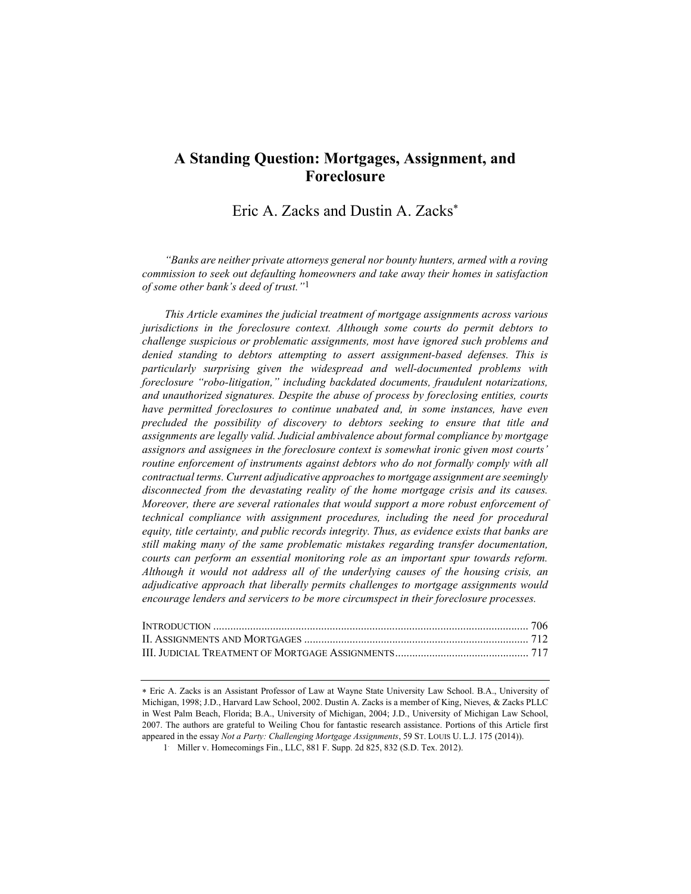# A Standing Question: Mortgages, Assignment, and Foreclosure

Eric A. Zacks and Dustin A. Zacks

"Banks are neither private attorneys general nor bounty hunters, armed with a roving commission to seek out defaulting homeowners and take away their homes in satisfaction of some other bank's deed of trust." $1$ 

This Article examines the judicial treatment of mortgage assignments across various jurisdictions in the foreclosure context. Although some courts do permit debtors to challenge suspicious or problematic assignments, most have ignored such problems and denied standing to debtors attempting to assert assignment-based defenses. This is particularly surprising given the widespread and well-documented problems with foreclosure "robo-litigation," including backdated documents, fraudulent notarizations, and unauthorized signatures. Despite the abuse of process by foreclosing entities, courts have permitted foreclosures to continue unabated and, in some instances, have even precluded the possibility of discovery to debtors seeking to ensure that title and assignments are legally valid. Judicial ambivalence about formal compliance by mortgage assignors and assignees in the foreclosure context is somewhat ironic given most courts' routine enforcement of instruments against debtors who do not formally comply with all contractual terms. Current adjudicative approaches to mortgage assignment are seemingly disconnected from the devastating reality of the home mortgage crisis and its causes. Moreover, there are several rationales that would support a more robust enforcement of technical compliance with assignment procedures, including the need for procedural equity, title certainty, and public records integrity. Thus, as evidence exists that banks are still making many of the same problematic mistakes regarding transfer documentation, courts can perform an essential monitoring role as an important spur towards reform. Although it would not address all of the underlying causes of the housing crisis, an adjudicative approach that liberally permits challenges to mortgage assignments would encourage lenders and servicers to be more circumspect in their foreclosure processes.

Eric A. Zacks is an Assistant Professor of Law at Wayne State University Law School. B.A., University of Michigan, 1998; J.D., Harvard Law School, 2002. Dustin A. Zacks is a member of King, Nieves, & Zacks PLLC in West Palm Beach, Florida; B.A., University of Michigan, 2004; J.D., University of Michigan Law School, 2007. The authors are grateful to Weiling Chou for fantastic research assistance. Portions of this Article first appeared in the essay Not a Party: Challenging Mortgage Assignments, 59 ST. LOUIS U. L.J. 175 (2014)).

<sup>1</sup> . Miller v. Homecomings Fin., LLC, 881 F. Supp. 2d 825, 832 (S.D. Tex. 2012).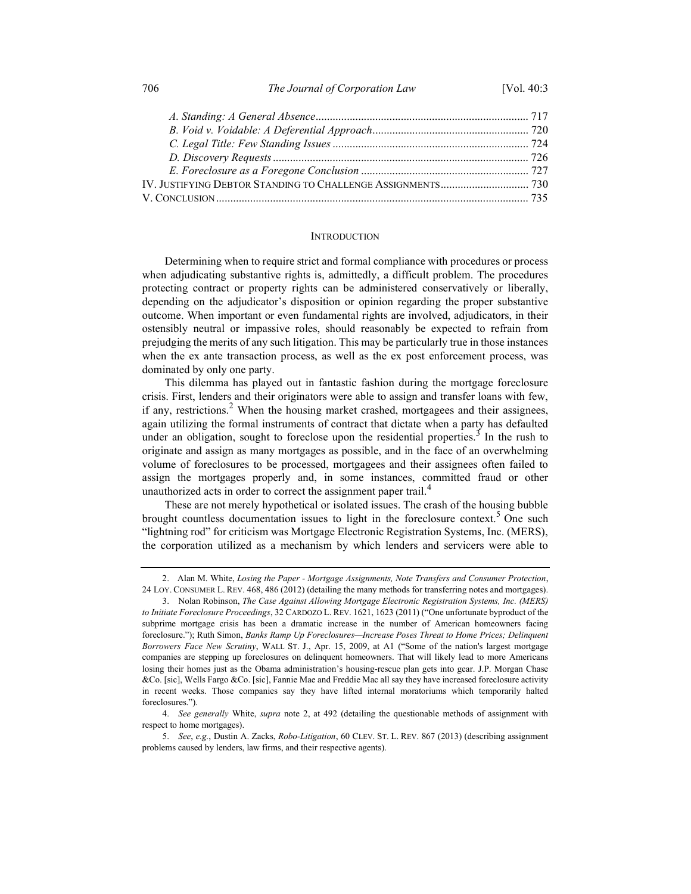706 The Journal of Corporation Law [Vol. 40:3

## **INTRODUCTION**

Determining when to require strict and formal compliance with procedures or process when adjudicating substantive rights is, admittedly, a difficult problem. The procedures protecting contract or property rights can be administered conservatively or liberally, depending on the adjudicator's disposition or opinion regarding the proper substantive outcome. When important or even fundamental rights are involved, adjudicators, in their ostensibly neutral or impassive roles, should reasonably be expected to refrain from prejudging the merits of any such litigation. This may be particularly true in those instances when the ex ante transaction process, as well as the ex post enforcement process, was dominated by only one party.

This dilemma has played out in fantastic fashion during the mortgage foreclosure crisis. First, lenders and their originators were able to assign and transfer loans with few, if any, restrictions.<sup>2</sup> When the housing market crashed, mortgagees and their assignees, again utilizing the formal instruments of contract that dictate when a party has defaulted under an obligation, sought to foreclose upon the residential properties.<sup>3</sup> In the rush to originate and assign as many mortgages as possible, and in the face of an overwhelming volume of foreclosures to be processed, mortgagees and their assignees often failed to assign the mortgages properly and, in some instances, committed fraud or other unauthorized acts in order to correct the assignment paper trail.<sup>4</sup>

These are not merely hypothetical or isolated issues. The crash of the housing bubble brought countless documentation issues to light in the foreclosure context.<sup>5</sup> One such "lightning rod" for criticism was Mortgage Electronic Registration Systems, Inc. (MERS), the corporation utilized as a mechanism by which lenders and servicers were able to

<sup>2.</sup> Alan M. White, Losing the Paper - Mortgage Assignments, Note Transfers and Consumer Protection, 24 LOY. CONSUMER L. REV. 468, 486 (2012) (detailing the many methods for transferring notes and mortgages).

 <sup>3.</sup> Nolan Robinson, The Case Against Allowing Mortgage Electronic Registration Systems, Inc. (MERS) to Initiate Foreclosure Proceedings, 32 CARDOZO L. REV. 1621, 1623 (2011) ("One unfortunate byproduct of the subprime mortgage crisis has been a dramatic increase in the number of American homeowners facing foreclosure."); Ruth Simon, Banks Ramp Up Foreclosures—Increase Poses Threat to Home Prices; Delinquent Borrowers Face New Scrutiny, WALL ST. J., Apr. 15, 2009, at A1 ("Some of the nation's largest mortgage companies are stepping up foreclosures on delinquent homeowners. That will likely lead to more Americans losing their homes just as the Obama administration's housing-rescue plan gets into gear. J.P. Morgan Chase &Co. [sic], Wells Fargo &Co. [sic], Fannie Mae and Freddie Mac all say they have increased foreclosure activity in recent weeks. Those companies say they have lifted internal moratoriums which temporarily halted foreclosures.").

<sup>4.</sup> See generally White, supra note 2, at 492 (detailing the questionable methods of assignment with respect to home mortgages).

 <sup>5.</sup> See, e.g., Dustin A. Zacks, Robo-Litigation, 60 CLEV. ST. L. REV. 867 (2013) (describing assignment problems caused by lenders, law firms, and their respective agents).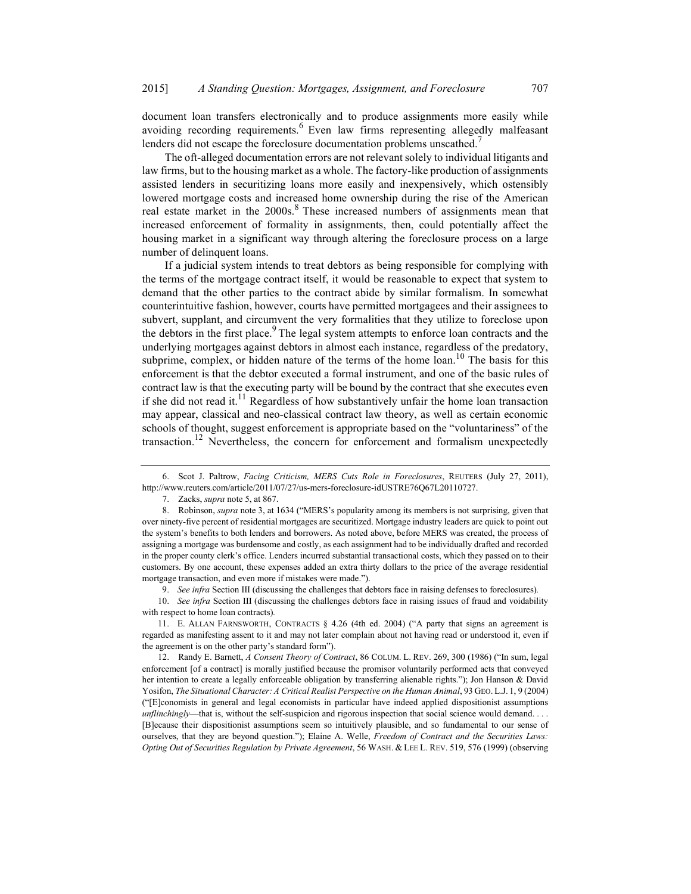document loan transfers electronically and to produce assignments more easily while avoiding recording requirements. Even law firms representing allegedly malfeasant lenders did not escape the foreclosure documentation problems unscathed.<sup>7</sup>

The oft-alleged documentation errors are not relevant solely to individual litigants and law firms, but to the housing market as a whole. The factory-like production of assignments assisted lenders in securitizing loans more easily and inexpensively, which ostensibly lowered mortgage costs and increased home ownership during the rise of the American real estate market in the  $2000s$ .<sup>8</sup> These increased numbers of assignments mean that increased enforcement of formality in assignments, then, could potentially affect the housing market in a significant way through altering the foreclosure process on a large number of delinquent loans.

If a judicial system intends to treat debtors as being responsible for complying with the terms of the mortgage contract itself, it would be reasonable to expect that system to demand that the other parties to the contract abide by similar formalism. In somewhat counterintuitive fashion, however, courts have permitted mortgagees and their assignees to subvert, supplant, and circumvent the very formalities that they utilize to foreclose upon the debtors in the first place.<sup>9</sup> The legal system attempts to enforce loan contracts and the underlying mortgages against debtors in almost each instance, regardless of the predatory, subprime, complex, or hidden nature of the terms of the home  $\alpha$  loan.<sup>10</sup> The basis for this enforcement is that the debtor executed a formal instrument, and one of the basic rules of contract law is that the executing party will be bound by the contract that she executes even if she did not read it.<sup>11</sup> Regardless of how substantively unfair the home loan transaction may appear, classical and neo-classical contract law theory, as well as certain economic schools of thought, suggest enforcement is appropriate based on the "voluntariness" of the transaction.12 Nevertheless, the concern for enforcement and formalism unexpectedly

9. See infra Section III (discussing the challenges that debtors face in raising defenses to foreclosures).

10. See infra Section III (discussing the challenges debtors face in raising issues of fraud and voidability with respect to home loan contracts).

11. E. ALLAN FARNSWORTH, CONTRACTS § 4.26 (4th ed. 2004) ("A party that signs an agreement is regarded as manifesting assent to it and may not later complain about not having read or understood it, even if the agreement is on the other party's standard form").

12. Randy E. Barnett, A Consent Theory of Contract, 86 COLUM. L. REV. 269, 300 (1986) ("In sum, legal enforcement [of a contract] is morally justified because the promisor voluntarily performed acts that conveyed her intention to create a legally enforceable obligation by transferring alienable rights."); Jon Hanson & David Yosifon, The Situational Character: A Critical Realist Perspective on the Human Animal, 93 GEO. L.J. 1, 9 (2004) ("[E]conomists in general and legal economists in particular have indeed applied dispositionist assumptions  $unflinchingly$ —that is, without the self-suspicion and rigorous inspection that social science would demand. . . . [B]ecause their dispositionist assumptions seem so intuitively plausible, and so fundamental to our sense of ourselves, that they are beyond question."); Elaine A. Welle, Freedom of Contract and the Securities Laws: Opting Out of Securities Regulation by Private Agreement, 56 WASH. & LEE L. REV. 519, 576 (1999) (observing

 <sup>6.</sup> Scot J. Paltrow, Facing Criticism, MERS Cuts Role in Foreclosures, REUTERS (July 27, 2011), http://www.reuters.com/article/2011/07/27/us-mers-foreclosure-idUSTRE76Q67L20110727.

 <sup>7.</sup> Zacks, supra note 5, at 867.

 <sup>8.</sup> Robinson, supra note 3, at 1634 ("MERS's popularity among its members is not surprising, given that over ninety-five percent of residential mortgages are securitized. Mortgage industry leaders are quick to point out the system's benefits to both lenders and borrowers. As noted above, before MERS was created, the process of assigning a mortgage was burdensome and costly, as each assignment had to be individually drafted and recorded in the proper county clerk's office. Lenders incurred substantial transactional costs, which they passed on to their customers. By one account, these expenses added an extra thirty dollars to the price of the average residential mortgage transaction, and even more if mistakes were made.").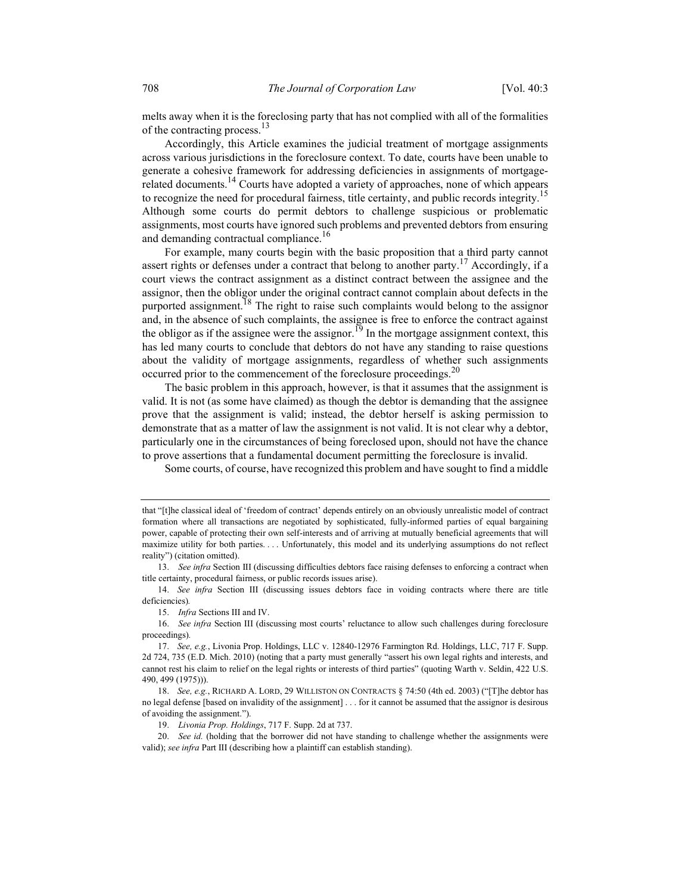melts away when it is the foreclosing party that has not complied with all of the formalities of the contracting process.<sup>13</sup>

Accordingly, this Article examines the judicial treatment of mortgage assignments across various jurisdictions in the foreclosure context. To date, courts have been unable to generate a cohesive framework for addressing deficiencies in assignments of mortgagerelated documents.<sup>14</sup> Courts have adopted a variety of approaches, none of which appears to recognize the need for procedural fairness, title certainty, and public records integrity.<sup>15</sup> Although some courts do permit debtors to challenge suspicious or problematic assignments, most courts have ignored such problems and prevented debtors from ensuring and demanding contractual compliance.<sup>16</sup>

For example, many courts begin with the basic proposition that a third party cannot assert rights or defenses under a contract that belong to another party.<sup>17</sup> Accordingly, if a court views the contract assignment as a distinct contract between the assignee and the assignor, then the obligor under the original contract cannot complain about defects in the purported assignment.<sup>18</sup> The right to raise such complaints would belong to the assignor and, in the absence of such complaints, the assignee is free to enforce the contract against the obligor as if the assignee were the assignor.<sup>19</sup> In the mortgage assignment context, this has led many courts to conclude that debtors do not have any standing to raise questions about the validity of mortgage assignments, regardless of whether such assignments occurred prior to the commencement of the foreclosure proceedings.<sup>20</sup>

The basic problem in this approach, however, is that it assumes that the assignment is valid. It is not (as some have claimed) as though the debtor is demanding that the assignee prove that the assignment is valid; instead, the debtor herself is asking permission to demonstrate that as a matter of law the assignment is not valid. It is not clear why a debtor, particularly one in the circumstances of being foreclosed upon, should not have the chance to prove assertions that a fundamental document permitting the foreclosure is invalid.

Some courts, of course, have recognized this problem and have sought to find a middle

19. Livonia Prop. Holdings, 717 F. Supp. 2d at 737.

that "[t]he classical ideal of 'freedom of contract' depends entirely on an obviously unrealistic model of contract formation where all transactions are negotiated by sophisticated, fully-informed parties of equal bargaining power, capable of protecting their own self-interests and of arriving at mutually beneficial agreements that will maximize utility for both parties. . . . Unfortunately, this model and its underlying assumptions do not reflect reality") (citation omitted).

<sup>13.</sup> See infra Section III (discussing difficulties debtors face raising defenses to enforcing a contract when title certainty, procedural fairness, or public records issues arise).

<sup>14.</sup> See infra Section III (discussing issues debtors face in voiding contracts where there are title deficiencies).

 <sup>15.</sup> Infra Sections III and IV.

 <sup>16.</sup> See infra Section III (discussing most courts' reluctance to allow such challenges during foreclosure proceedings).

<sup>17.</sup> See, e.g., Livonia Prop. Holdings, LLC v. 12840-12976 Farmington Rd. Holdings, LLC, 717 F. Supp. 2d 724, 735 (E.D. Mich. 2010) (noting that a party must generally "assert his own legal rights and interests, and cannot rest his claim to relief on the legal rights or interests of third parties" (quoting Warth v. Seldin, 422 U.S. 490, 499 (1975))).

<sup>18.</sup> See, e.g., RICHARD A. LORD, 29 WILLISTON ON CONTRACTS § 74:50 (4th ed. 2003) ("[T]he debtor has no legal defense [based on invalidity of the assignment] . . . for it cannot be assumed that the assignor is desirous of avoiding the assignment.").

<sup>20.</sup> See id. (holding that the borrower did not have standing to challenge whether the assignments were valid); see infra Part III (describing how a plaintiff can establish standing).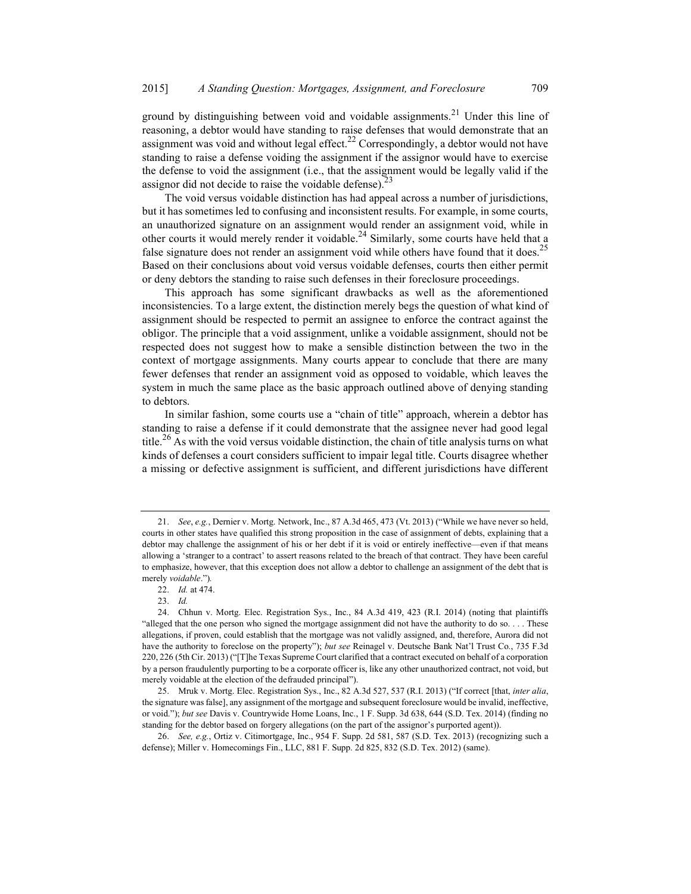ground by distinguishing between void and voidable assignments.<sup>21</sup> Under this line of reasoning, a debtor would have standing to raise defenses that would demonstrate that an assignment was void and without legal effect. $^{22}$  Correspondingly, a debtor would not have standing to raise a defense voiding the assignment if the assignor would have to exercise the defense to void the assignment (i.e., that the assignment would be legally valid if the assignor did not decide to raise the voidable defense).<sup>23</sup>

The void versus voidable distinction has had appeal across a number of jurisdictions, but it has sometimes led to confusing and inconsistent results. For example, in some courts, an unauthorized signature on an assignment would render an assignment void, while in other courts it would merely render it voidable.<sup>24</sup> Similarly, some courts have held that a false signature does not render an assignment void while others have found that it does.<sup>25</sup> Based on their conclusions about void versus voidable defenses, courts then either permit or deny debtors the standing to raise such defenses in their foreclosure proceedings.

This approach has some significant drawbacks as well as the aforementioned inconsistencies. To a large extent, the distinction merely begs the question of what kind of assignment should be respected to permit an assignee to enforce the contract against the obligor. The principle that a void assignment, unlike a voidable assignment, should not be respected does not suggest how to make a sensible distinction between the two in the context of mortgage assignments. Many courts appear to conclude that there are many fewer defenses that render an assignment void as opposed to voidable, which leaves the system in much the same place as the basic approach outlined above of denying standing to debtors.

In similar fashion, some courts use a "chain of title" approach, wherein a debtor has standing to raise a defense if it could demonstrate that the assignee never had good legal title.<sup>26</sup> As with the void versus voidable distinction, the chain of title analysis turns on what kinds of defenses a court considers sufficient to impair legal title. Courts disagree whether a missing or defective assignment is sufficient, and different jurisdictions have different

<sup>21.</sup> See, e.g., Dernier v. Mortg. Network, Inc., 87 A.3d 465, 473 (Vt. 2013) ("While we have never so held, courts in other states have qualified this strong proposition in the case of assignment of debts, explaining that a debtor may challenge the assignment of his or her debt if it is void or entirely ineffective—even if that means allowing a 'stranger to a contract' to assert reasons related to the breach of that contract. They have been careful to emphasize, however, that this exception does not allow a debtor to challenge an assignment of the debt that is merely voidable.").

 <sup>22.</sup> Id. at 474.

 <sup>23.</sup> Id.

 <sup>24.</sup> Chhun v. Mortg. Elec. Registration Sys., Inc., 84 A.3d 419, 423 (R.I. 2014) (noting that plaintiffs "alleged that the one person who signed the mortgage assignment did not have the authority to do so. . . . These allegations, if proven, could establish that the mortgage was not validly assigned, and, therefore, Aurora did not have the authority to foreclose on the property"); but see Reinagel v. Deutsche Bank Nat'l Trust Co., 735 F.3d 220, 226 (5th Cir. 2013) ("[T]he Texas Supreme Court clarified that a contract executed on behalf of a corporation by a person fraudulently purporting to be a corporate officer is, like any other unauthorized contract, not void, but merely voidable at the election of the defrauded principal").

 <sup>25.</sup> Mruk v. Mortg. Elec. Registration Sys., Inc., 82 A.3d 527, 537 (R.I. 2013) ("If correct [that, inter alia, the signature was false], any assignment of the mortgage and subsequent foreclosure would be invalid, ineffective, or void."); but see Davis v. Countrywide Home Loans, Inc., 1 F. Supp. 3d 638, 644 (S.D. Tex. 2014) (finding no standing for the debtor based on forgery allegations (on the part of the assignor's purported agent)).

 <sup>26.</sup> See, e.g., Ortiz v. Citimortgage, Inc., 954 F. Supp. 2d 581, 587 (S.D. Tex. 2013) (recognizing such a defense); Miller v. Homecomings Fin., LLC, 881 F. Supp. 2d 825, 832 (S.D. Tex. 2012) (same).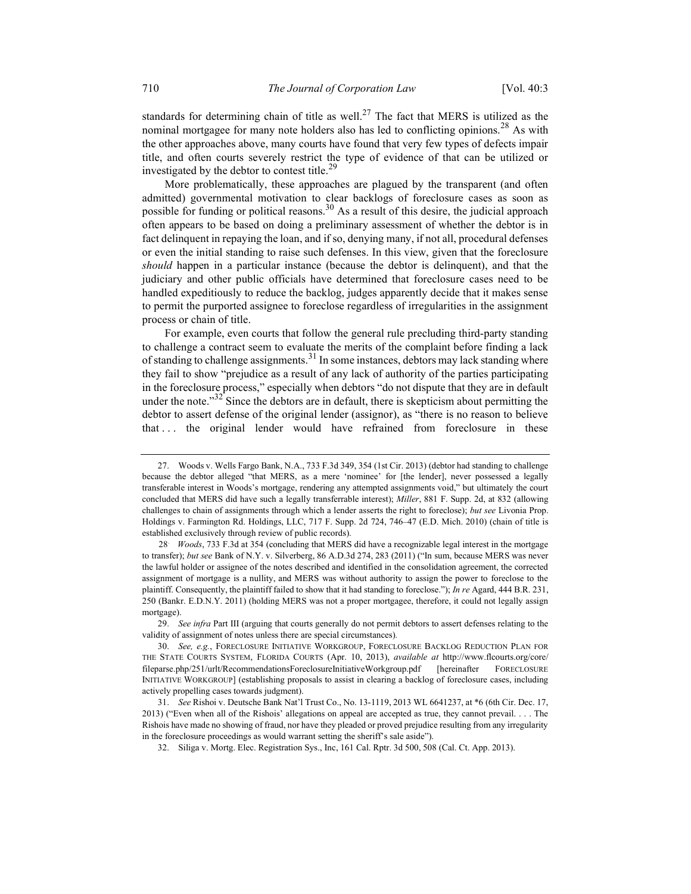standards for determining chain of title as well.<sup>27</sup> The fact that MERS is utilized as the nominal mortgagee for many note holders also has led to conflicting opinions.<sup>28</sup> As with the other approaches above, many courts have found that very few types of defects impair title, and often courts severely restrict the type of evidence of that can be utilized or investigated by the debtor to contest title. $^{29}$ 

More problematically, these approaches are plagued by the transparent (and often admitted) governmental motivation to clear backlogs of foreclosure cases as soon as possible for funding or political reasons.<sup>30</sup> As a result of this desire, the judicial approach often appears to be based on doing a preliminary assessment of whether the debtor is in fact delinquent in repaying the loan, and if so, denying many, if not all, procedural defenses or even the initial standing to raise such defenses. In this view, given that the foreclosure should happen in a particular instance (because the debtor is delinquent), and that the judiciary and other public officials have determined that foreclosure cases need to be handled expeditiously to reduce the backlog, judges apparently decide that it makes sense to permit the purported assignee to foreclose regardless of irregularities in the assignment process or chain of title.

For example, even courts that follow the general rule precluding third-party standing to challenge a contract seem to evaluate the merits of the complaint before finding a lack of standing to challenge assignments.<sup>31</sup> In some instances, debtors may lack standing where they fail to show "prejudice as a result of any lack of authority of the parties participating in the foreclosure process," especially when debtors "do not dispute that they are in default under the note." $32^2$  Since the debtors are in default, there is skepticism about permitting the debtor to assert defense of the original lender (assignor), as "there is no reason to believe that . . . the original lender would have refrained from foreclosure in these

 <sup>27.</sup> Woods v. Wells Fargo Bank, N.A., 733 F.3d 349, 354 (1st Cir. 2013) (debtor had standing to challenge because the debtor alleged "that MERS, as a mere 'nominee' for [the lender], never possessed a legally transferable interest in Woods's mortgage, rendering any attempted assignments void," but ultimately the court concluded that MERS did have such a legally transferrable interest); Miller, 881 F. Supp. 2d, at 832 (allowing challenges to chain of assignments through which a lender asserts the right to foreclose); but see Livonia Prop. Holdings v. Farmington Rd. Holdings, LLC, 717 F. Supp. 2d 724, 746–47 (E.D. Mich. 2010) (chain of title is established exclusively through review of public records).

<sup>28</sup>. Woods, 733 F.3d at 354 (concluding that MERS did have a recognizable legal interest in the mortgage to transfer); but see Bank of N.Y. v. Silverberg, 86 A.D.3d 274, 283 (2011) ("In sum, because MERS was never the lawful holder or assignee of the notes described and identified in the consolidation agreement, the corrected assignment of mortgage is a nullity, and MERS was without authority to assign the power to foreclose to the plaintiff. Consequently, the plaintiff failed to show that it had standing to foreclose."); In re Agard, 444 B.R. 231, 250 (Bankr. E.D.N.Y. 2011) (holding MERS was not a proper mortgagee, therefore, it could not legally assign mortgage).

<sup>29.</sup> See infra Part III (arguing that courts generally do not permit debtors to assert defenses relating to the validity of assignment of notes unless there are special circumstances).

 <sup>30.</sup> See, e.g., FORECLOSURE INITIATIVE WORKGROUP, FORECLOSURE BACKLOG REDUCTION PLAN FOR THE STATE COURTS SYSTEM, FLORIDA COURTS (Apr. 10, 2013), available at http://www.flcourts.org/core/ fileparse.php/251/urlt/RecommendationsForeclosureInitiativeWorkgroup.pdf [hereinafter FORECLOSURE INITIATIVE WORKGROUP] (establishing proposals to assist in clearing a backlog of foreclosure cases, including actively propelling cases towards judgment).

 <sup>31.</sup> See Rishoi v. Deutsche Bank Nat'l Trust Co., No. 13-1119, 2013 WL 6641237, at \*6 (6th Cir. Dec. 17, 2013) ("Even when all of the Rishois' allegations on appeal are accepted as true, they cannot prevail. . . . The Rishois have made no showing of fraud, nor have they pleaded or proved prejudice resulting from any irregularity in the foreclosure proceedings as would warrant setting the sheriff's sale aside").

 <sup>32.</sup> Siliga v. Mortg. Elec. Registration Sys., Inc, 161 Cal. Rptr. 3d 500, 508 (Cal. Ct. App. 2013).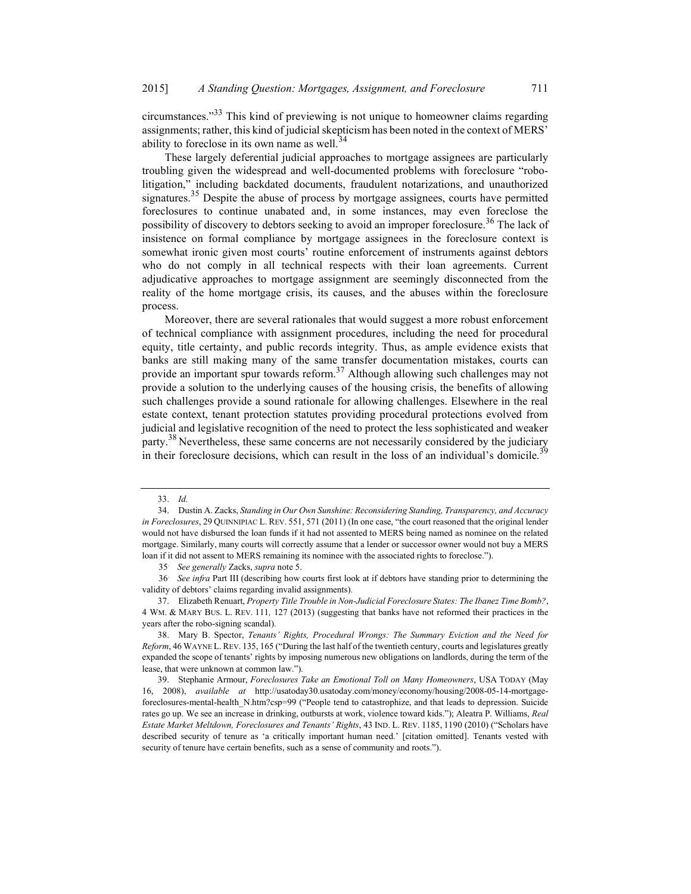circumstances."<sup>33</sup> This kind of previewing is not unique to homeowner claims regarding assignments; rather, this kind of judicial skepticism has been noted in the context of MERS' ability to foreclose in its own name as well. $34$ 

These largely deferential judicial approaches to mortgage assignees are particularly troubling given the widespread and well-documented problems with foreclosure "robolitigation," including backdated documents, fraudulent notarizations, and unauthorized signatures.<sup>35</sup> Despite the abuse of process by mortgage assignees, courts have permitted foreclosures to continue unabated and, in some instances, may even foreclose the possibility of discovery to debtors seeking to avoid an improper foreclosure.<sup>36</sup> The lack of insistence on formal compliance by mortgage assignees in the foreclosure context is somewhat ironic given most courts' routine enforcement of instruments against debtors who do not comply in all technical respects with their loan agreements. Current adjudicative approaches to mortgage assignment are seemingly disconnected from the reality of the home mortgage crisis, its causes, and the abuses within the foreclosure process.

Moreover, there are several rationales that would suggest a more robust enforcement of technical compliance with assignment procedures, including the need for procedural equity, title certainty, and public records integrity. Thus, as ample evidence exists that banks are still making many of the same transfer documentation mistakes, courts can provide an important spur towards reform.<sup>37</sup> Although allowing such challenges may not provide a solution to the underlying causes of the housing crisis, the benefits of allowing such challenges provide a sound rationale for allowing challenges. Elsewhere in the real estate context, tenant protection statutes providing procedural protections evolved from judicial and legislative recognition of the need to protect the less sophisticated and weaker party.<sup>38</sup> Nevertheless, these same concerns are not necessarily considered by the judiciary in their foreclosure decisions, which can result in the loss of an individual's domicile.<sup>35</sup>

 <sup>33.</sup> Id.

 <sup>34.</sup> Dustin A. Zacks, Standing in Our Own Sunshine: Reconsidering Standing, Transparency, and Accuracy in Foreclosures, 29 QUINNIPIAC L. REV. 551, 571 (2011) (In one case, "the court reasoned that the original lender would not have disbursed the loan funds if it had not assented to MERS being named as nominee on the related mortgage. Similarly, many courts will correctly assume that a lender or successor owner would not buy a MERS loan if it did not assent to MERS remaining its nominee with the associated rights to foreclose.").

<sup>35</sup>. See generally Zacks, supra note 5.

<sup>36</sup> See infra Part III (describing how courts first look at if debtors have standing prior to determining the validity of debtors' claims regarding invalid assignments).

 <sup>37.</sup> Elizabeth Renuart, Property Title Trouble in Non-Judicial Foreclosure States: The Ibanez Time Bomb?, 4 WM. & MARY BUS. L. REV. 111, 127 (2013) (suggesting that banks have not reformed their practices in the years after the robo-signing scandal).

 <sup>38.</sup> Mary B. Spector, Tenants' Rights, Procedural Wrongs: The Summary Eviction and the Need for Reform, 46 WAYNE L.REV. 135, 165 ("During the last half of the twentieth century, courts and legislatures greatly expanded the scope of tenants' rights by imposing numerous new obligations on landlords, during the term of the lease, that were unknown at common law.").

 <sup>39.</sup> Stephanie Armour, Foreclosures Take an Emotional Toll on Many Homeowners, USA TODAY (May 16, 2008), available at http://usatoday30.usatoday.com/money/economy/housing/2008-05-14-mortgageforeclosures-mental-health\_N.htm?csp=99 ("People tend to catastrophize, and that leads to depression. Suicide rates go up. We see an increase in drinking, outbursts at work, violence toward kids."); Aleatra P. Williams, Real Estate Market Meltdown, Foreclosures and Tenants' Rights, 43 IND. L. REV. 1185, 1190 (2010) ("Scholars have described security of tenure as 'a critically important human need.' [citation omitted]. Tenants vested with security of tenure have certain benefits, such as a sense of community and roots.").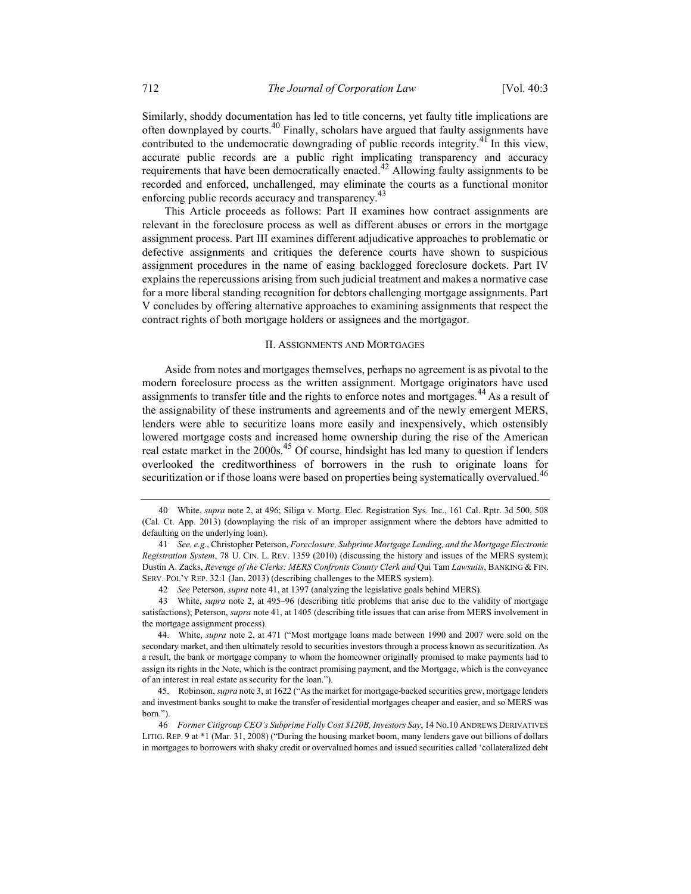Similarly, shoddy documentation has led to title concerns, yet faulty title implications are often downplayed by courts.<sup>40</sup> Finally, scholars have argued that faulty assignments have contributed to the undemocratic downgrading of public records integrity.<sup>41</sup> In this view, accurate public records are a public right implicating transparency and accuracy requirements that have been democratically enacted.<sup>42</sup> Allowing faulty assignments to be recorded and enforced, unchallenged, may eliminate the courts as a functional monitor enforcing public records accuracy and transparency.<sup>43</sup>

This Article proceeds as follows: Part II examines how contract assignments are relevant in the foreclosure process as well as different abuses or errors in the mortgage assignment process. Part III examines different adjudicative approaches to problematic or defective assignments and critiques the deference courts have shown to suspicious assignment procedures in the name of easing backlogged foreclosure dockets. Part IV explains the repercussions arising from such judicial treatment and makes a normative case for a more liberal standing recognition for debtors challenging mortgage assignments. Part V concludes by offering alternative approaches to examining assignments that respect the contract rights of both mortgage holders or assignees and the mortgagor.

#### II. ASSIGNMENTS AND MORTGAGES

Aside from notes and mortgages themselves, perhaps no agreement is as pivotal to the modern foreclosure process as the written assignment. Mortgage originators have used assignments to transfer title and the rights to enforce notes and mortgages.<sup>44</sup> As a result of the assignability of these instruments and agreements and of the newly emergent MERS, lenders were able to securitize loans more easily and inexpensively, which ostensibly lowered mortgage costs and increased home ownership during the rise of the American real estate market in the  $2000s<sup>45</sup>$  Of course, hindsight has led many to question if lenders overlooked the creditworthiness of borrowers in the rush to originate loans for securitization or if those loans were based on properties being systematically overvalued.<sup>46</sup>

42 See Peterson, supra note 41, at 1397 (analyzing the legislative goals behind MERS).

<sup>40</sup>. White, supra note 2, at 496; Siliga v. Mortg. Elec. Registration Sys. Inc., 161 Cal. Rptr. 3d 500, 508 (Cal. Ct. App. 2013) (downplaying the risk of an improper assignment where the debtors have admitted to defaulting on the underlying loan).

<sup>41</sup>. See, e.g., Christopher Peterson, Foreclosure, Subprime Mortgage Lending, and the Mortgage Electronic Registration System, 78 U. CIN. L. REV. 1359 (2010) (discussing the history and issues of the MERS system); Dustin A. Zacks, Revenge of the Clerks: MERS Confronts County Clerk and Qui Tam Lawsuits, BANKING & FIN. SERV. POL'Y REP. 32:1 (Jan. 2013) (describing challenges to the MERS system).

<sup>43</sup>. White, supra note 2, at 495–96 (describing title problems that arise due to the validity of mortgage satisfactions); Peterson, *supra* note 41, at 1405 (describing title issues that can arise from MERS involvement in the mortgage assignment process).

 <sup>44.</sup> White, supra note 2, at 471 ("Most mortgage loans made between 1990 and 2007 were sold on the secondary market, and then ultimately resold to securities investors through a process known as securitization. As a result, the bank or mortgage company to whom the homeowner originally promised to make payments had to assign its rights in the Note, which is the contract promising payment, and the Mortgage, which is the conveyance of an interest in real estate as security for the loan.").

<sup>45.</sup> Robinson, *supra* note 3, at 1622 ("As the market for mortgage-backed securities grew, mortgage lenders and investment banks sought to make the transfer of residential mortgages cheaper and easier, and so MERS was born.").

<sup>46</sup>. Former Citigroup CEO's Subprime Folly Cost \$120B, Investors Say, 14 No.10 ANDREWS DERIVATIVES LITIG. REP. 9 at \*1 (Mar. 31, 2008) ("During the housing market boom, many lenders gave out billions of dollars in mortgages to borrowers with shaky credit or overvalued homes and issued securities called 'collateralized debt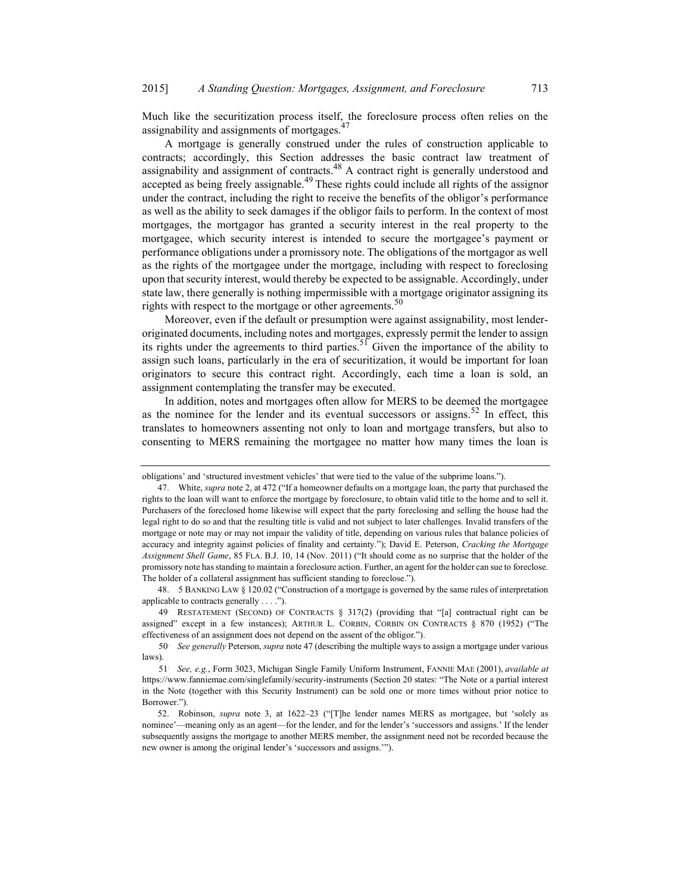Much like the securitization process itself, the foreclosure process often relies on the assignability and assignments of mortgages. $47$ 

A mortgage is generally construed under the rules of construction applicable to contracts; accordingly, this Section addresses the basic contract law treatment of assignability and assignment of contracts.48 A contract right is generally understood and accepted as being freely assignable.<sup>49</sup> These rights could include all rights of the assignor under the contract, including the right to receive the benefits of the obligor's performance as well as the ability to seek damages if the obligor fails to perform. In the context of most mortgages, the mortgagor has granted a security interest in the real property to the mortgagee, which security interest is intended to secure the mortgagee's payment or performance obligations under a promissory note. The obligations of the mortgagor as well as the rights of the mortgagee under the mortgage, including with respect to foreclosing upon that security interest, would thereby be expected to be assignable. Accordingly, under state law, there generally is nothing impermissible with a mortgage originator assigning its rights with respect to the mortgage or other agreements.<sup>50</sup>

Moreover, even if the default or presumption were against assignability, most lenderoriginated documents, including notes and mortgages, expressly permit the lender to assign its rights under the agreements to third parties.<sup>51</sup> Given the importance of the ability to assign such loans, particularly in the era of securitization, it would be important for loan originators to secure this contract right. Accordingly, each time a loan is sold, an assignment contemplating the transfer may be executed.

In addition, notes and mortgages often allow for MERS to be deemed the mortgagee as the nominee for the lender and its eventual successors or assigns.<sup>52</sup> In effect, this translates to homeowners assenting not only to loan and mortgage transfers, but also to consenting to MERS remaining the mortgagee no matter how many times the loan is

 48. 5 BANKING LAW § 120.02 ("Construction of a mortgage is governed by the same rules of interpretation applicable to contracts generally . . . .").

49. RESTATEMENT (SECOND) OF CONTRACTS § 317(2) (providing that "[a] contractual right can be assigned" except in a few instances); ARTHUR L. CORBIN, CORBIN ON CONTRACTS § 870 (1952) ("The effectiveness of an assignment does not depend on the assent of the obligor.").

50. See generally Peterson, supra note 47 (describing the multiple ways to assign a mortgage under various laws).

obligations' and 'structured investment vehicles' that were tied to the value of the subprime loans.").

White, supra note 2, at 472 ("If a homeowner defaults on a mortgage loan, the party that purchased the rights to the loan will want to enforce the mortgage by foreclosure, to obtain valid title to the home and to sell it. Purchasers of the foreclosed home likewise will expect that the party foreclosing and selling the house had the legal right to do so and that the resulting title is valid and not subject to later challenges. Invalid transfers of the mortgage or note may or may not impair the validity of title, depending on various rules that balance policies of accuracy and integrity against policies of finality and certainty."); David E. Peterson, Cracking the Mortgage Assignment Shell Game, 85 FLA. B.J. 10, 14 (Nov. 2011) ("It should come as no surprise that the holder of the promissory note has standing to maintain a foreclosure action. Further, an agent for the holder can sue to foreclose. The holder of a collateral assignment has sufficient standing to foreclose.").

<sup>51</sup>. See, e.g., Form 3023, Michigan Single Family Uniform Instrument, FANNIE MAE (2001), available at https://www.fanniemae.com/singlefamily/security-instruments (Section 20 states: "The Note or a partial interest in the Note (together with this Security Instrument) can be sold one or more times without prior notice to Borrower.").

 <sup>52.</sup> Robinson, supra note 3, at 1622–23 ("[T]he lender names MERS as mortgagee, but 'solely as nominee'—meaning only as an agent—for the lender, and for the lender's 'successors and assigns.' If the lender subsequently assigns the mortgage to another MERS member, the assignment need not be recorded because the new owner is among the original lender's 'successors and assigns.'").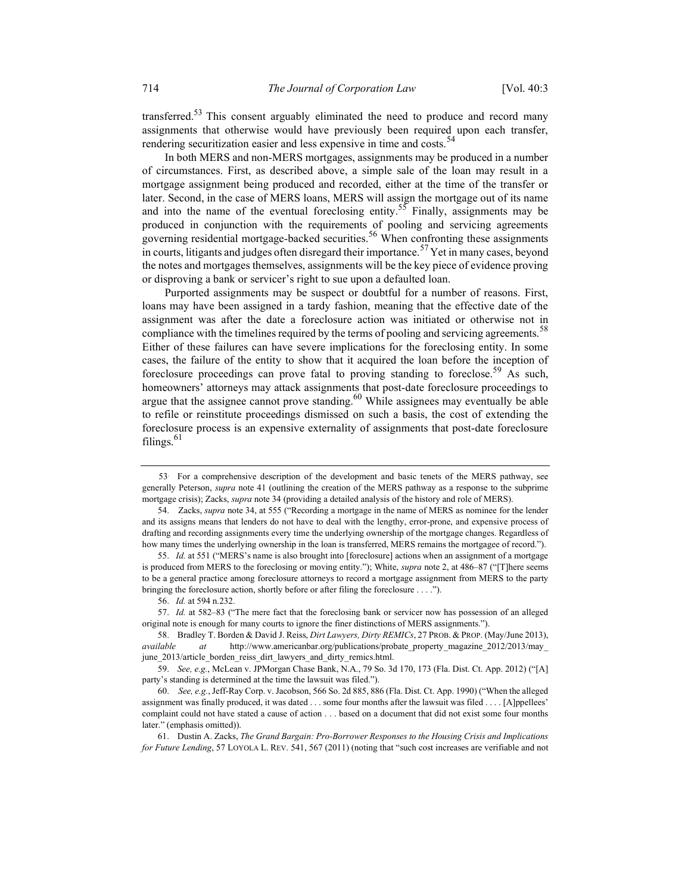transferred.<sup>53</sup> This consent arguably eliminated the need to produce and record many assignments that otherwise would have previously been required upon each transfer, rendering securitization easier and less expensive in time and costs.<sup>54</sup>

In both MERS and non-MERS mortgages, assignments may be produced in a number of circumstances. First, as described above, a simple sale of the loan may result in a mortgage assignment being produced and recorded, either at the time of the transfer or later. Second, in the case of MERS loans, MERS will assign the mortgage out of its name and into the name of the eventual foreclosing entity.<sup>55</sup> Finally, assignments may be produced in conjunction with the requirements of pooling and servicing agreements governing residential mortgage-backed securities.<sup>56</sup> When confronting these assignments in courts, litigants and judges often disregard their importance.<sup>57</sup> Yet in many cases, beyond the notes and mortgages themselves, assignments will be the key piece of evidence proving or disproving a bank or servicer's right to sue upon a defaulted loan.

Purported assignments may be suspect or doubtful for a number of reasons. First, loans may have been assigned in a tardy fashion, meaning that the effective date of the assignment was after the date a foreclosure action was initiated or otherwise not in compliance with the timelines required by the terms of pooling and servicing agreements.<sup>58</sup> Either of these failures can have severe implications for the foreclosing entity. In some cases, the failure of the entity to show that it acquired the loan before the inception of foreclosure proceedings can prove fatal to proving standing to foreclose.<sup>59</sup> As such, homeowners' attorneys may attack assignments that post-date foreclosure proceedings to argue that the assignee cannot prove standing.<sup>60</sup> While assignees may eventually be able to refile or reinstitute proceedings dismissed on such a basis, the cost of extending the foreclosure process is an expensive externality of assignments that post-date foreclosure filings. $61$ 

<sup>53</sup>. For a comprehensive description of the development and basic tenets of the MERS pathway, see generally Peterson, *supra* note 41 (outlining the creation of the MERS pathway as a response to the subprime mortgage crisis); Zacks, *supra* note 34 (providing a detailed analysis of the history and role of MERS).

 <sup>54.</sup> Zacks, supra note 34, at 555 ("Recording a mortgage in the name of MERS as nominee for the lender and its assigns means that lenders do not have to deal with the lengthy, error-prone, and expensive process of drafting and recording assignments every time the underlying ownership of the mortgage changes. Regardless of how many times the underlying ownership in the loan is transferred, MERS remains the mortgagee of record.").

<sup>55.</sup> Id. at 551 ("MERS's name is also brought into [foreclosure] actions when an assignment of a mortgage is produced from MERS to the foreclosing or moving entity."); White, *supra* note 2, at 486–87 ("[T]here seems to be a general practice among foreclosure attorneys to record a mortgage assignment from MERS to the party bringing the foreclosure action, shortly before or after filing the foreclosure . . . .").

 <sup>56.</sup> Id. at 594 n.232.

 <sup>57.</sup> Id. at 582–83 ("The mere fact that the foreclosing bank or servicer now has possession of an alleged original note is enough for many courts to ignore the finer distinctions of MERS assignments.").

<sup>58.</sup> Bradley T. Borden & David J. Reiss, Dirt Lawyers, Dirty REMICs, 27 PROB. & PROP. (May/June 2013), available at http://www.americanbar.org/publications/probate\_property\_magazine\_2012/2013/may\_ june\_2013/article\_borden\_reiss\_dirt\_lawyers\_and\_dirty\_remics.html.

<sup>59.</sup> See, e.g., McLean v. JPMorgan Chase Bank, N.A., 79 So. 3d 170, 173 (Fla. Dist. Ct. App. 2012) ("[A] party's standing is determined at the time the lawsuit was filed.").

 <sup>60.</sup> See, e.g., Jeff-Ray Corp. v. Jacobson, 566 So. 2d 885, 886 (Fla. Dist. Ct. App. 1990) ("When the alleged assignment was finally produced, it was dated . . . some four months after the lawsuit was filed . . . . [A]ppellees' complaint could not have stated a cause of action . . . based on a document that did not exist some four months later." (emphasis omitted)).

<sup>61.</sup> Dustin A. Zacks, The Grand Bargain: Pro-Borrower Responses to the Housing Crisis and Implications for Future Lending, 57 LOYOLA L. REV. 541, 567 (2011) (noting that "such cost increases are verifiable and not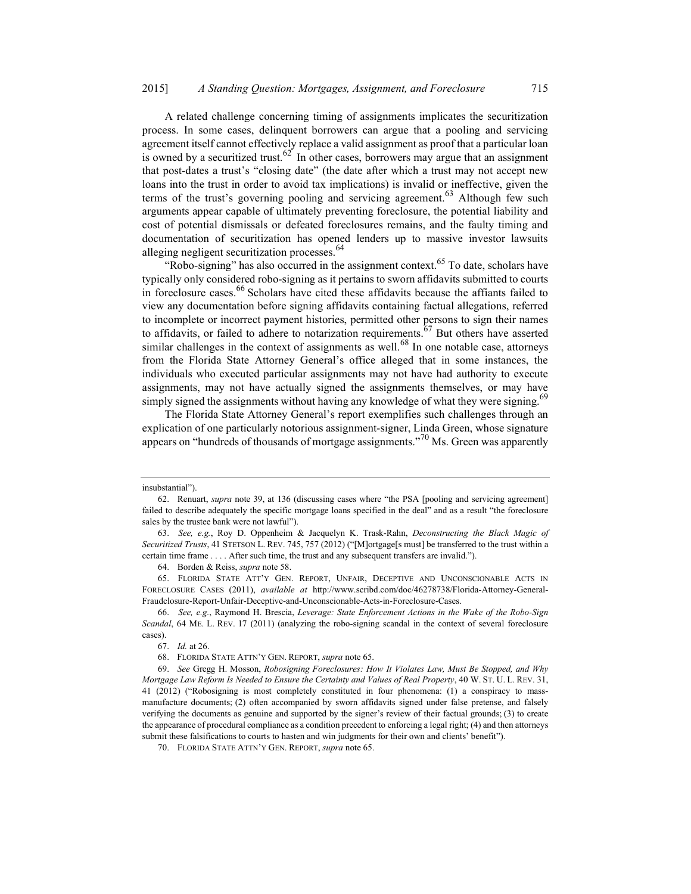A related challenge concerning timing of assignments implicates the securitization process. In some cases, delinquent borrowers can argue that a pooling and servicing agreement itself cannot effectively replace a valid assignment as proof that a particular loan is owned by a securitized trust.<sup>62</sup> In other cases, borrowers may argue that an assignment that post-dates a trust's "closing date" (the date after which a trust may not accept new loans into the trust in order to avoid tax implications) is invalid or ineffective, given the terms of the trust's governing pooling and servicing agreement.<sup>63</sup> Although few such arguments appear capable of ultimately preventing foreclosure, the potential liability and cost of potential dismissals or defeated foreclosures remains, and the faulty timing and documentation of securitization has opened lenders up to massive investor lawsuits alleging negligent securitization processes.<sup>64</sup>

"Robo-signing" has also occurred in the assignment context.<sup>65</sup> To date, scholars have typically only considered robo-signing as it pertains to sworn affidavits submitted to courts in foreclosure cases. $66$  Scholars have cited these affidavits because the affiants failed to view any documentation before signing affidavits containing factual allegations, referred to incomplete or incorrect payment histories, permitted other persons to sign their names to affidavits, or failed to adhere to notarization requirements.<sup> $67$ </sup> But others have asserted similar challenges in the context of assignments as well.<sup>68</sup> In one notable case, attorneys from the Florida State Attorney General's office alleged that in some instances, the individuals who executed particular assignments may not have had authority to execute assignments, may not have actually signed the assignments themselves, or may have simply signed the assignments without having any knowledge of what they were signing.<sup>69</sup>

The Florida State Attorney General's report exemplifies such challenges through an explication of one particularly notorious assignment-signer, Linda Green, whose signature appears on "hundreds of thousands of mortgage assignments."<sup>70</sup> Ms. Green was apparently

insubstantial").

<sup>62.</sup> Renuart, supra note 39, at 136 (discussing cases where "the PSA [pooling and servicing agreement] failed to describe adequately the specific mortgage loans specified in the deal" and as a result "the foreclosure sales by the trustee bank were not lawful").

 <sup>63.</sup> See, e.g., Roy D. Oppenheim & Jacquelyn K. Trask-Rahn, Deconstructing the Black Magic of Securitized Trusts, 41 STETSON L. REV. 745, 757 (2012) ("[M]ortgage[s must] be transferred to the trust within a certain time frame . . . . After such time, the trust and any subsequent transfers are invalid.").

<sup>64.</sup> Borden & Reiss, supra note 58.

 <sup>65.</sup> FLORIDA STATE ATT'Y GEN. REPORT, UNFAIR, DECEPTIVE AND UNCONSCIONABLE ACTS IN FORECLOSURE CASES (2011), available at http://www.scribd.com/doc/46278738/Florida-Attorney-General-Fraudclosure-Report-Unfair-Deceptive-and-Unconscionable-Acts-in-Foreclosure-Cases.

 <sup>66.</sup> See, e.g., Raymond H. Brescia, Leverage: State Enforcement Actions in the Wake of the Robo-Sign Scandal, 64 ME. L. REV. 17 (2011) (analyzing the robo-signing scandal in the context of several foreclosure cases).

<sup>67.</sup> Id. at 26.

<sup>68.</sup> FLORIDA STATE ATTN'Y GEN. REPORT, supra note 65.

<sup>69.</sup> See Gregg H. Mosson, Robosigning Foreclosures: How It Violates Law, Must Be Stopped, and Why Mortgage Law Reform Is Needed to Ensure the Certainty and Values of Real Property, 40 W. ST. U. L. REV. 31, 41 (2012) ("Robosigning is most completely constituted in four phenomena: (1) a conspiracy to massmanufacture documents; (2) often accompanied by sworn affidavits signed under false pretense, and falsely verifying the documents as genuine and supported by the signer's review of their factual grounds; (3) to create the appearance of procedural compliance as a condition precedent to enforcing a legal right; (4) and then attorneys submit these falsifications to courts to hasten and win judgments for their own and clients' benefit").

<sup>70.</sup> FLORIDA STATE ATTN'Y GEN. REPORT, supra note 65.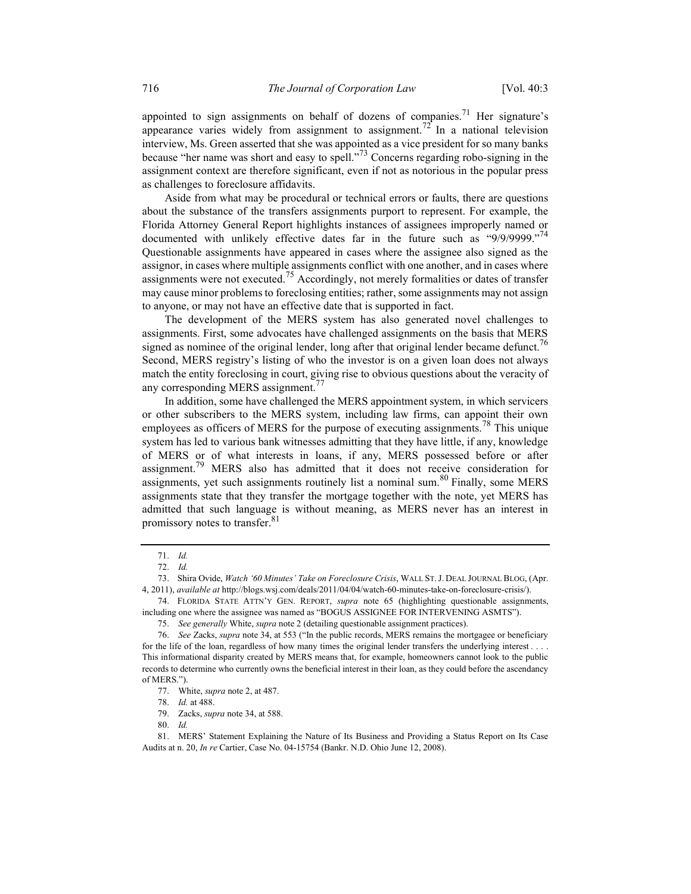appointed to sign assignments on behalf of dozens of companies.<sup>71</sup> Her signature's appearance varies widely from assignment to assignment.<sup>72</sup> In a national television interview, Ms. Green asserted that she was appointed as a vice president for so many banks because "her name was short and easy to spell."<sup>73</sup> Concerns regarding robo-signing in the assignment context are therefore significant, even if not as notorious in the popular press as challenges to foreclosure affidavits.

Aside from what may be procedural or technical errors or faults, there are questions about the substance of the transfers assignments purport to represent. For example, the Florida Attorney General Report highlights instances of assignees improperly named or documented with unlikely effective dates far in the future such as "9/9/9999."<sup>74</sup> Questionable assignments have appeared in cases where the assignee also signed as the assignor, in cases where multiple assignments conflict with one another, and in cases where assignments were not executed.<sup>75</sup> Accordingly, not merely formalities or dates of transfer may cause minor problems to foreclosing entities; rather, some assignments may not assign to anyone, or may not have an effective date that is supported in fact.

The development of the MERS system has also generated novel challenges to assignments. First, some advocates have challenged assignments on the basis that MERS signed as nominee of the original lender, long after that original lender became defunct.<sup>76</sup> Second, MERS registry's listing of who the investor is on a given loan does not always match the entity foreclosing in court, giving rise to obvious questions about the veracity of any corresponding MERS assignment.<sup>77</sup>

In addition, some have challenged the MERS appointment system, in which servicers or other subscribers to the MERS system, including law firms, can appoint their own employees as officers of MERS for the purpose of executing assignments.<sup>78</sup> This unique system has led to various bank witnesses admitting that they have little, if any, knowledge of MERS or of what interests in loans, if any, MERS possessed before or after assignment.<sup>79</sup> MERS also has admitted that it does not receive consideration for assignments, yet such assignments routinely list a nominal sum.<sup>80</sup> Finally, some MERS assignments state that they transfer the mortgage together with the note, yet MERS has admitted that such language is without meaning, as MERS never has an interest in promissory notes to transfer.<sup>81</sup>

 <sup>71.</sup> Id.

 <sup>72.</sup> Id.

<sup>73.</sup> Shira Ovide, Watch '60 Minutes' Take on Foreclosure Crisis, WALL ST.J. DEAL JOURNAL BLOG, (Apr. 4, 2011), available at http://blogs.wsj.com/deals/2011/04/04/watch-60-minutes-take-on-foreclosure-crisis/).

<sup>74.</sup> FLORIDA STATE ATTN'Y GEN. REPORT, supra note 65 (highlighting questionable assignments, including one where the assignee was named as "BOGUS ASSIGNEE FOR INTERVENING ASMTS").

 <sup>75.</sup> See generally White, supra note 2 (detailing questionable assignment practices).

 <sup>76.</sup> See Zacks, supra note 34, at 553 ("In the public records, MERS remains the mortgagee or beneficiary for the life of the loan, regardless of how many times the original lender transfers the underlying interest . . . . This informational disparity created by MERS means that, for example, homeowners cannot look to the public records to determine who currently owns the beneficial interest in their loan, as they could before the ascendancy of MERS.").

<sup>77.</sup> White, *supra* note 2, at 487.

 <sup>78.</sup> Id. at 488.

 <sup>79.</sup> Zacks, supra note 34, at 588.

 <sup>80.</sup> Id.

 <sup>81.</sup> MERS' Statement Explaining the Nature of Its Business and Providing a Status Report on Its Case Audits at n. 20, In re Cartier, Case No. 04-15754 (Bankr. N.D. Ohio June 12, 2008).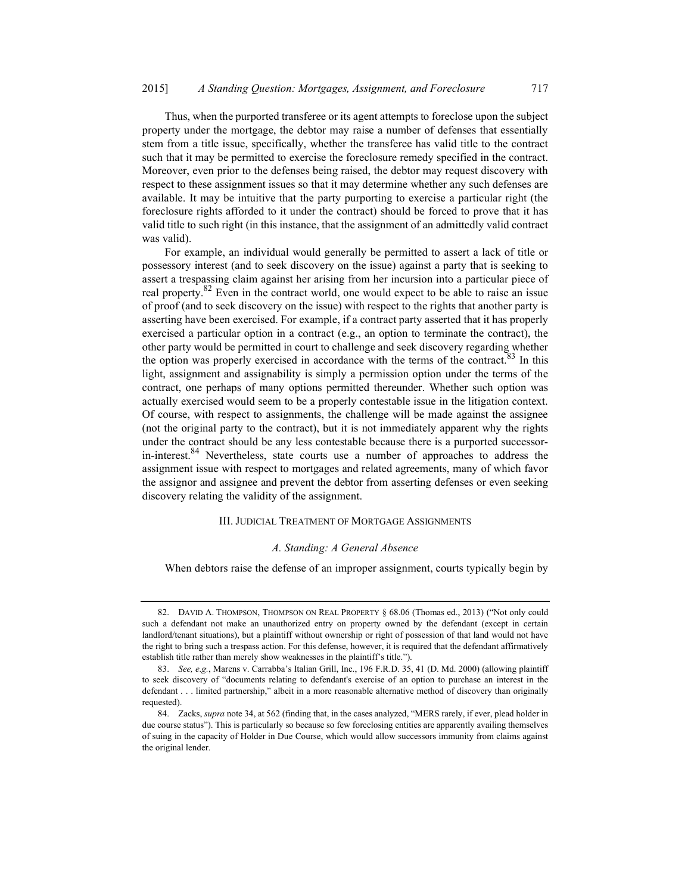Thus, when the purported transferee or its agent attempts to foreclose upon the subject property under the mortgage, the debtor may raise a number of defenses that essentially stem from a title issue, specifically, whether the transferee has valid title to the contract such that it may be permitted to exercise the foreclosure remedy specified in the contract. Moreover, even prior to the defenses being raised, the debtor may request discovery with respect to these assignment issues so that it may determine whether any such defenses are available. It may be intuitive that the party purporting to exercise a particular right (the foreclosure rights afforded to it under the contract) should be forced to prove that it has valid title to such right (in this instance, that the assignment of an admittedly valid contract was valid).

For example, an individual would generally be permitted to assert a lack of title or possessory interest (and to seek discovery on the issue) against a party that is seeking to assert a trespassing claim against her arising from her incursion into a particular piece of real property.82 Even in the contract world, one would expect to be able to raise an issue of proof (and to seek discovery on the issue) with respect to the rights that another party is asserting have been exercised. For example, if a contract party asserted that it has properly exercised a particular option in a contract (e.g., an option to terminate the contract), the other party would be permitted in court to challenge and seek discovery regarding whether the option was properly exercised in accordance with the terms of the contract.<sup>83</sup> In this light, assignment and assignability is simply a permission option under the terms of the contract, one perhaps of many options permitted thereunder. Whether such option was actually exercised would seem to be a properly contestable issue in the litigation context. Of course, with respect to assignments, the challenge will be made against the assignee (not the original party to the contract), but it is not immediately apparent why the rights under the contract should be any less contestable because there is a purported successorin-interest.<sup>84</sup> Nevertheless, state courts use a number of approaches to address the assignment issue with respect to mortgages and related agreements, many of which favor the assignor and assignee and prevent the debtor from asserting defenses or even seeking discovery relating the validity of the assignment.

## III. JUDICIAL TREATMENT OF MORTGAGE ASSIGNMENTS

#### A. Standing: A General Absence

When debtors raise the defense of an improper assignment, courts typically begin by

 <sup>82.</sup> DAVID A. THOMPSON, THOMPSON ON REAL PROPERTY § 68.06 (Thomas ed., 2013) ("Not only could such a defendant not make an unauthorized entry on property owned by the defendant (except in certain landlord/tenant situations), but a plaintiff without ownership or right of possession of that land would not have the right to bring such a trespass action. For this defense, however, it is required that the defendant affirmatively establish title rather than merely show weaknesses in the plaintiff's title.").

 <sup>83.</sup> See, e.g., Marens v. Carrabba's Italian Grill, Inc., 196 F.R.D. 35, 41 (D. Md. 2000) (allowing plaintiff to seek discovery of "documents relating to defendant's exercise of an option to purchase an interest in the defendant . . . limited partnership," albeit in a more reasonable alternative method of discovery than originally requested).

 <sup>84.</sup> Zacks, supra note 34, at 562 (finding that, in the cases analyzed, "MERS rarely, if ever, plead holder in due course status"). This is particularly so because so few foreclosing entities are apparently availing themselves of suing in the capacity of Holder in Due Course, which would allow successors immunity from claims against the original lender.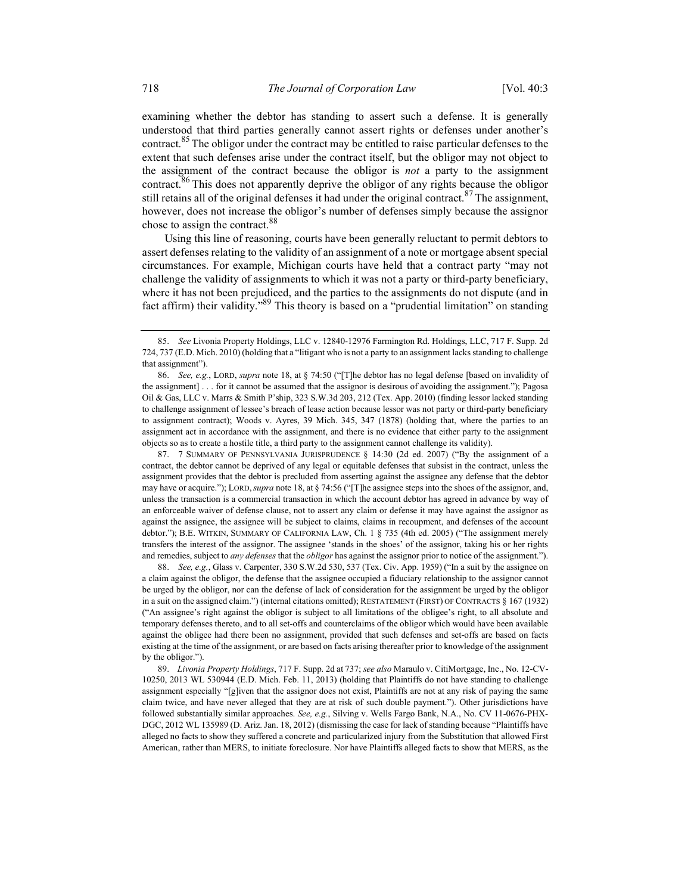examining whether the debtor has standing to assert such a defense. It is generally understood that third parties generally cannot assert rights or defenses under another's contract.<sup>85</sup> The obligor under the contract may be entitled to raise particular defenses to the extent that such defenses arise under the contract itself, but the obligor may not object to the assignment of the contract because the obligor is not a party to the assignment contract.<sup>86</sup> This does not apparently deprive the obligor of any rights because the obligor still retains all of the original defenses it had under the original contract.<sup>87</sup> The assignment, however, does not increase the obligor's number of defenses simply because the assignor chose to assign the contract.<sup>88</sup>

Using this line of reasoning, courts have been generally reluctant to permit debtors to assert defenses relating to the validity of an assignment of a note or mortgage absent special circumstances. For example, Michigan courts have held that a contract party "may not challenge the validity of assignments to which it was not a party or third-party beneficiary, where it has not been prejudiced, and the parties to the assignments do not dispute (and in fact affirm) their validity."<sup>89</sup> This theory is based on a "prudential limitation" on standing

 87. 7 SUMMARY OF PENNSYLVANIA JURISPRUDENCE § 14:30 (2d ed. 2007) ("By the assignment of a contract, the debtor cannot be deprived of any legal or equitable defenses that subsist in the contract, unless the assignment provides that the debtor is precluded from asserting against the assignee any defense that the debtor may have or acquire."); LORD, supra note 18, at § 74:56 ("[T]he assignee steps into the shoes of the assignor, and, unless the transaction is a commercial transaction in which the account debtor has agreed in advance by way of an enforceable waiver of defense clause, not to assert any claim or defense it may have against the assignor as against the assignee, the assignee will be subject to claims, claims in recoupment, and defenses of the account debtor."); B.E. WITKIN, SUMMARY OF CALIFORNIA LAW, Ch. 1 § 735 (4th ed. 2005) ("The assignment merely transfers the interest of the assignor. The assignee 'stands in the shoes' of the assignor, taking his or her rights and remedies, subject to *any defenses* that the *obligor* has against the assignor prior to notice of the assignment.").

88. See, e.g., Glass v. Carpenter, 330 S.W.2d 530, 537 (Tex. Civ. App. 1959) ("In a suit by the assignee on a claim against the obligor, the defense that the assignee occupied a fiduciary relationship to the assignor cannot be urged by the obligor, nor can the defense of lack of consideration for the assignment be urged by the obligor in a suit on the assigned claim.") (internal citations omitted); RESTATEMENT (FIRST) OF CONTRACTS § 167 (1932) ("An assignee's right against the obligor is subject to all limitations of the obligee's right, to all absolute and temporary defenses thereto, and to all set-offs and counterclaims of the obligor which would have been available against the obligee had there been no assignment, provided that such defenses and set-offs are based on facts existing at the time of the assignment, or are based on facts arising thereafter prior to knowledge of the assignment by the obligor.").

89. Livonia Property Holdings, 717 F. Supp. 2d at 737; see also Maraulo v. CitiMortgage, Inc., No. 12-CV-10250, 2013 WL 530944 (E.D. Mich. Feb. 11, 2013) (holding that Plaintiffs do not have standing to challenge assignment especially "[g]iven that the assignor does not exist, Plaintiffs are not at any risk of paying the same claim twice, and have never alleged that they are at risk of such double payment."). Other jurisdictions have followed substantially similar approaches. See, e.g., Silving v. Wells Fargo Bank, N.A., No. CV 11-0676-PHX-DGC, 2012 WL 135989 (D. Ariz. Jan. 18, 2012) (dismissing the case for lack of standing because "Plaintiffs have alleged no facts to show they suffered a concrete and particularized injury from the Substitution that allowed First American, rather than MERS, to initiate foreclosure. Nor have Plaintiffs alleged facts to show that MERS, as the

 <sup>85.</sup> See Livonia Property Holdings, LLC v. 12840-12976 Farmington Rd. Holdings, LLC, 717 F. Supp. 2d 724, 737 (E.D. Mich. 2010) (holding that a "litigant who is not a party to an assignment lacks standing to challenge that assignment").

 <sup>86.</sup> See, e.g., LORD, supra note 18, at § 74:50 ("[T]he debtor has no legal defense [based on invalidity of the assignment] . . . for it cannot be assumed that the assignor is desirous of avoiding the assignment."); Pagosa Oil & Gas, LLC v. Marrs & Smith P'ship, 323 S.W.3d 203, 212 (Tex. App. 2010) (finding lessor lacked standing to challenge assignment of lessee's breach of lease action because lessor was not party or third-party beneficiary to assignment contract); Woods v. Ayres, 39 Mich. 345, 347 (1878) (holding that, where the parties to an assignment act in accordance with the assignment, and there is no evidence that either party to the assignment objects so as to create a hostile title, a third party to the assignment cannot challenge its validity).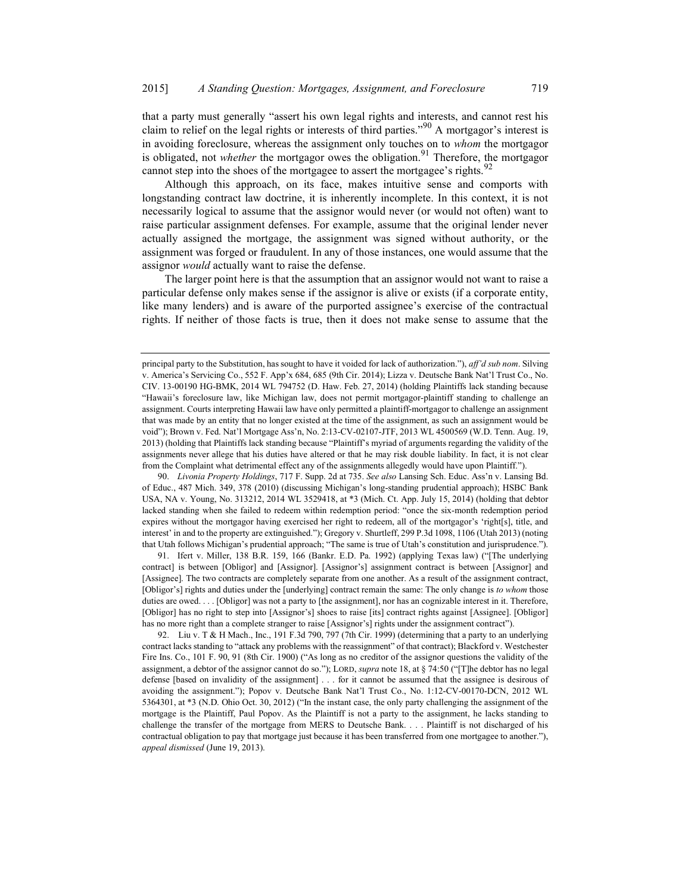that a party must generally "assert his own legal rights and interests, and cannot rest his claim to relief on the legal rights or interests of third parties."<sup>90</sup> A mortgagor's interest is in avoiding foreclosure, whereas the assignment only touches on to whom the mortgagor is obligated, not *whether* the mortgagor owes the obligation.<sup>91</sup> Therefore, the mortgagor cannot step into the shoes of the mortgagee to assert the mortgagee's rights.<sup>92</sup>

Although this approach, on its face, makes intuitive sense and comports with longstanding contract law doctrine, it is inherently incomplete. In this context, it is not necessarily logical to assume that the assignor would never (or would not often) want to raise particular assignment defenses. For example, assume that the original lender never actually assigned the mortgage, the assignment was signed without authority, or the assignment was forged or fraudulent. In any of those instances, one would assume that the assignor would actually want to raise the defense.

The larger point here is that the assumption that an assignor would not want to raise a particular defense only makes sense if the assignor is alive or exists (if a corporate entity, like many lenders) and is aware of the purported assignee's exercise of the contractual rights. If neither of those facts is true, then it does not make sense to assume that the

90. Livonia Property Holdings, 717 F. Supp. 2d at 735. See also Lansing Sch. Educ. Ass'n v. Lansing Bd. of Educ., 487 Mich. 349, 378 (2010) (discussing Michigan's long-standing prudential approach); HSBC Bank USA, NA v. Young, No. 313212, 2014 WL 3529418, at \*3 (Mich. Ct. App. July 15, 2014) (holding that debtor lacked standing when she failed to redeem within redemption period: "once the six-month redemption period expires without the mortgagor having exercised her right to redeem, all of the mortgagor's 'right[s], title, and interest' in and to the property are extinguished."); Gregory v. Shurtleff, 299 P.3d 1098, 1106 (Utah 2013) (noting that Utah follows Michigan's prudential approach; "The same is true of Utah's constitution and jurisprudence.").

91. Ifert v. Miller, 138 B.R. 159, 166 (Bankr. E.D. Pa. 1992) (applying Texas law) ("[The underlying contract] is between [Obligor] and [Assignor]. [Assignor's] assignment contract is between [Assignor] and [Assignee]. The two contracts are completely separate from one another. As a result of the assignment contract, [Obligor's] rights and duties under the [underlying] contract remain the same: The only change is to whom those duties are owed. . . . [Obligor] was not a party to [the assignment], nor has an cognizable interest in it. Therefore, [Obligor] has no right to step into [Assignor's] shoes to raise [its] contract rights against [Assignee]. [Obligor] has no more right than a complete stranger to raise [Assignor's] rights under the assignment contract").

 92. Liu v. T & H Mach., Inc., 191 F.3d 790, 797 (7th Cir. 1999) (determining that a party to an underlying contract lacks standing to "attack any problems with the reassignment" of that contract); Blackford v. Westchester Fire Ins. Co., 101 F. 90, 91 (8th Cir. 1900) ("As long as no creditor of the assignor questions the validity of the assignment, a debtor of the assignor cannot do so."); LORD, supra note 18, at § 74:50 ("[T]he debtor has no legal defense [based on invalidity of the assignment] . . . for it cannot be assumed that the assignee is desirous of avoiding the assignment."); Popov v. Deutsche Bank Nat'l Trust Co., No. 1:12-CV-00170-DCN, 2012 WL 5364301, at \*3 (N.D. Ohio Oct. 30, 2012) ("In the instant case, the only party challenging the assignment of the mortgage is the Plaintiff, Paul Popov. As the Plaintiff is not a party to the assignment, he lacks standing to challenge the transfer of the mortgage from MERS to Deutsche Bank. . . . Plaintiff is not discharged of his contractual obligation to pay that mortgage just because it has been transferred from one mortgagee to another."), appeal dismissed (June 19, 2013).

principal party to the Substitution, has sought to have it voided for lack of authorization."), aff'd sub nom. Silving v. America's Servicing Co., 552 F. App'x 684, 685 (9th Cir. 2014); Lizza v. Deutsche Bank Nat'l Trust Co., No. CIV. 13-00190 HG-BMK, 2014 WL 794752 (D. Haw. Feb. 27, 2014) (holding Plaintiffs lack standing because "Hawaii's foreclosure law, like Michigan law, does not permit mortgagor-plaintiff standing to challenge an assignment. Courts interpreting Hawaii law have only permitted a plaintiff-mortgagor to challenge an assignment that was made by an entity that no longer existed at the time of the assignment, as such an assignment would be void"); Brown v. Fed. Nat'l Mortgage Ass'n, No. 2:13-CV-02107-JTF, 2013 WL 4500569 (W.D. Tenn. Aug. 19, 2013) (holding that Plaintiffs lack standing because "Plaintiff's myriad of arguments regarding the validity of the assignments never allege that his duties have altered or that he may risk double liability. In fact, it is not clear from the Complaint what detrimental effect any of the assignments allegedly would have upon Plaintiff.").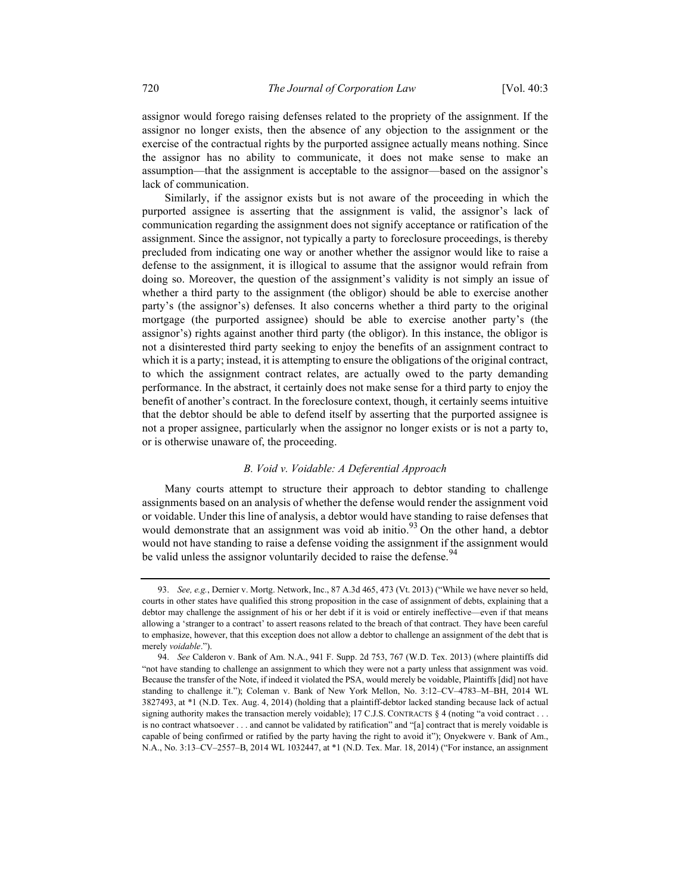assignor would forego raising defenses related to the propriety of the assignment. If the assignor no longer exists, then the absence of any objection to the assignment or the exercise of the contractual rights by the purported assignee actually means nothing. Since the assignor has no ability to communicate, it does not make sense to make an assumption—that the assignment is acceptable to the assignor—based on the assignor's lack of communication.

Similarly, if the assignor exists but is not aware of the proceeding in which the purported assignee is asserting that the assignment is valid, the assignor's lack of communication regarding the assignment does not signify acceptance or ratification of the assignment. Since the assignor, not typically a party to foreclosure proceedings, is thereby precluded from indicating one way or another whether the assignor would like to raise a defense to the assignment, it is illogical to assume that the assignor would refrain from doing so. Moreover, the question of the assignment's validity is not simply an issue of whether a third party to the assignment (the obligor) should be able to exercise another party's (the assignor's) defenses. It also concerns whether a third party to the original mortgage (the purported assignee) should be able to exercise another party's (the assignor's) rights against another third party (the obligor). In this instance, the obligor is not a disinterested third party seeking to enjoy the benefits of an assignment contract to which it is a party; instead, it is attempting to ensure the obligations of the original contract, to which the assignment contract relates, are actually owed to the party demanding performance. In the abstract, it certainly does not make sense for a third party to enjoy the benefit of another's contract. In the foreclosure context, though, it certainly seems intuitive that the debtor should be able to defend itself by asserting that the purported assignee is not a proper assignee, particularly when the assignor no longer exists or is not a party to, or is otherwise unaware of, the proceeding.

## B. Void v. Voidable: A Deferential Approach

Many courts attempt to structure their approach to debtor standing to challenge assignments based on an analysis of whether the defense would render the assignment void or voidable. Under this line of analysis, a debtor would have standing to raise defenses that would demonstrate that an assignment was void ab initio.<sup>93</sup> On the other hand, a debtor would not have standing to raise a defense voiding the assignment if the assignment would be valid unless the assignor voluntarily decided to raise the defense.<sup>94</sup>

<sup>93.</sup> See, e.g., Dernier v. Mortg. Network, Inc., 87 A.3d 465, 473 (Vt. 2013) ("While we have never so held, courts in other states have qualified this strong proposition in the case of assignment of debts, explaining that a debtor may challenge the assignment of his or her debt if it is void or entirely ineffective—even if that means allowing a 'stranger to a contract' to assert reasons related to the breach of that contract. They have been careful to emphasize, however, that this exception does not allow a debtor to challenge an assignment of the debt that is merely voidable.").

<sup>94.</sup> See Calderon v. Bank of Am. N.A., 941 F. Supp. 2d 753, 767 (W.D. Tex. 2013) (where plaintiffs did "not have standing to challenge an assignment to which they were not a party unless that assignment was void. Because the transfer of the Note, if indeed it violated the PSA, would merely be voidable, Plaintiffs [did] not have standing to challenge it."); Coleman v. Bank of New York Mellon, No. 3:12–CV–4783–M–BH, 2014 WL 3827493, at \*1 (N.D. Tex. Aug. 4, 2014) (holding that a plaintiff-debtor lacked standing because lack of actual signing authority makes the transaction merely voidable); 17 C.J.S. CONTRACTS § 4 (noting "a void contract . . . is no contract whatsoever . . . and cannot be validated by ratification" and "[a] contract that is merely voidable is capable of being confirmed or ratified by the party having the right to avoid it"); Onyekwere v. Bank of Am., N.A., No. 3:13–CV–2557–B, 2014 WL 1032447, at \*1 (N.D. Tex. Mar. 18, 2014) ("For instance, an assignment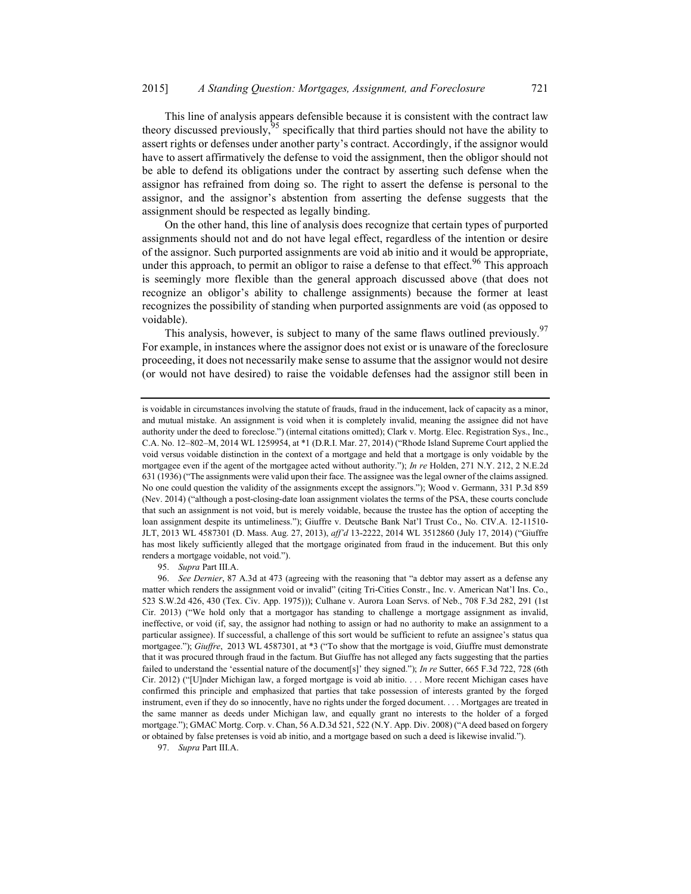This line of analysis appears defensible because it is consistent with the contract law theory discussed previously,<sup>95</sup> specifically that third parties should not have the ability to assert rights or defenses under another party's contract. Accordingly, if the assignor would have to assert affirmatively the defense to void the assignment, then the obligor should not be able to defend its obligations under the contract by asserting such defense when the assignor has refrained from doing so. The right to assert the defense is personal to the assignor, and the assignor's abstention from asserting the defense suggests that the assignment should be respected as legally binding.

On the other hand, this line of analysis does recognize that certain types of purported assignments should not and do not have legal effect, regardless of the intention or desire of the assignor. Such purported assignments are void ab initio and it would be appropriate, under this approach, to permit an obligor to raise a defense to that effect.<sup>96</sup> This approach is seemingly more flexible than the general approach discussed above (that does not recognize an obligor's ability to challenge assignments) because the former at least recognizes the possibility of standing when purported assignments are void (as opposed to voidable).

This analysis, however, is subject to many of the same flaws outlined previously.<sup>97</sup> For example, in instances where the assignor does not exist or is unaware of the foreclosure proceeding, it does not necessarily make sense to assume that the assignor would not desire (or would not have desired) to raise the voidable defenses had the assignor still been in

95. Supra Part III.A.

97. Supra Part III.A.

is voidable in circumstances involving the statute of frauds, fraud in the inducement, lack of capacity as a minor, and mutual mistake. An assignment is void when it is completely invalid, meaning the assignee did not have authority under the deed to foreclose.") (internal citations omitted); Clark v. Mortg. Elec. Registration Sys., Inc., C.A. No. 12–802–M, 2014 WL 1259954, at \*1 (D.R.I. Mar. 27, 2014) ("Rhode Island Supreme Court applied the void versus voidable distinction in the context of a mortgage and held that a mortgage is only voidable by the mortgagee even if the agent of the mortgagee acted without authority."); In re Holden, 271 N.Y. 212, 2 N.E.2d 631 (1936) ("The assignments were valid upon their face. The assignee was the legal owner of the claims assigned. No one could question the validity of the assignments except the assignors."); Wood v. Germann, 331 P.3d 859 (Nev. 2014) ("although a post-closing-date loan assignment violates the terms of the PSA, these courts conclude that such an assignment is not void, but is merely voidable, because the trustee has the option of accepting the loan assignment despite its untimeliness."); Giuffre v. Deutsche Bank Nat'l Trust Co., No. CIV.A. 12-11510- JLT, 2013 WL 4587301 (D. Mass. Aug. 27, 2013), aff'd 13-2222, 2014 WL 3512860 (July 17, 2014) ("Giuffre has most likely sufficiently alleged that the mortgage originated from fraud in the inducement. But this only renders a mortgage voidable, not void.").

 <sup>96.</sup> See Dernier, 87 A.3d at 473 (agreeing with the reasoning that "a debtor may assert as a defense any matter which renders the assignment void or invalid" (citing Tri-Cities Constr., Inc. v. American Nat'l Ins. Co., 523 S.W.2d 426, 430 (Tex. Civ. App. 1975))); Culhane v. Aurora Loan Servs. of Neb., 708 F.3d 282, 291 (1st Cir. 2013) ("We hold only that a mortgagor has standing to challenge a mortgage assignment as invalid, ineffective, or void (if, say, the assignor had nothing to assign or had no authority to make an assignment to a particular assignee). If successful, a challenge of this sort would be sufficient to refute an assignee's status qua mortgagee."); Giuffre, 2013 WL 4587301, at \*3 ("To show that the mortgage is void, Giuffre must demonstrate that it was procured through fraud in the factum. But Giuffre has not alleged any facts suggesting that the parties failed to understand the 'essential nature of the document[s]' they signed."); In re Sutter, 665 F.3d 722, 728 (6th Cir. 2012) ("[U]nder Michigan law, a forged mortgage is void ab initio. . . . More recent Michigan cases have confirmed this principle and emphasized that parties that take possession of interests granted by the forged instrument, even if they do so innocently, have no rights under the forged document. . . . Mortgages are treated in the same manner as deeds under Michigan law, and equally grant no interests to the holder of a forged mortgage."); GMAC Mortg. Corp. v. Chan, 56 A.D.3d 521, 522 (N.Y. App. Div. 2008) ("A deed based on forgery or obtained by false pretenses is void ab initio, and a mortgage based on such a deed is likewise invalid.").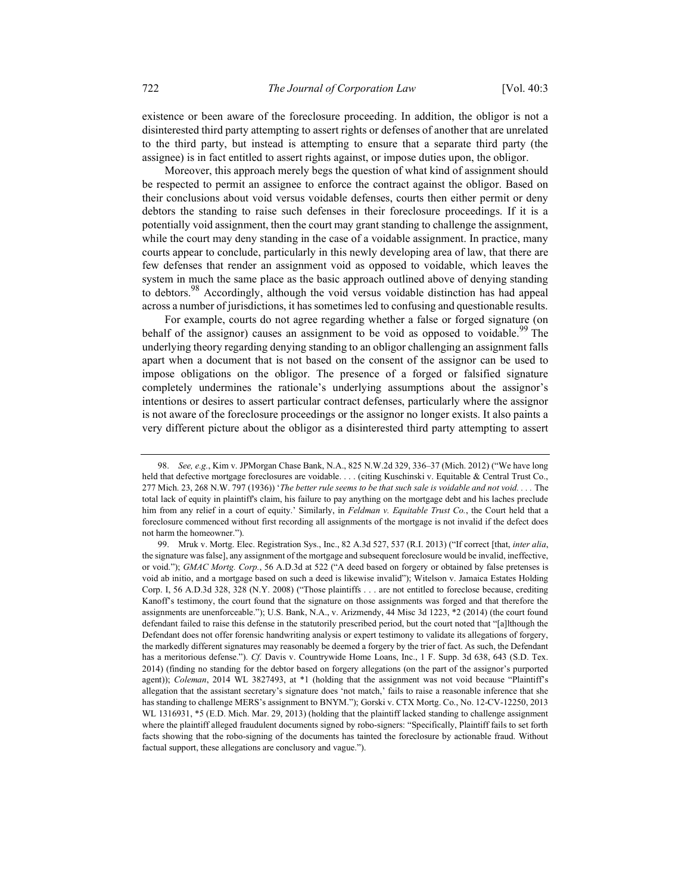existence or been aware of the foreclosure proceeding. In addition, the obligor is not a disinterested third party attempting to assert rights or defenses of another that are unrelated to the third party, but instead is attempting to ensure that a separate third party (the assignee) is in fact entitled to assert rights against, or impose duties upon, the obligor.

Moreover, this approach merely begs the question of what kind of assignment should be respected to permit an assignee to enforce the contract against the obligor. Based on their conclusions about void versus voidable defenses, courts then either permit or deny debtors the standing to raise such defenses in their foreclosure proceedings. If it is a potentially void assignment, then the court may grant standing to challenge the assignment, while the court may deny standing in the case of a voidable assignment. In practice, many courts appear to conclude, particularly in this newly developing area of law, that there are few defenses that render an assignment void as opposed to voidable, which leaves the system in much the same place as the basic approach outlined above of denying standing to debtors.<sup>98</sup> Accordingly, although the void versus voidable distinction has had appeal across a number of jurisdictions, it has sometimes led to confusing and questionable results.

For example, courts do not agree regarding whether a false or forged signature (on behalf of the assignor) causes an assignment to be void as opposed to voidable.<sup>99</sup> The underlying theory regarding denying standing to an obligor challenging an assignment falls apart when a document that is not based on the consent of the assignor can be used to impose obligations on the obligor. The presence of a forged or falsified signature completely undermines the rationale's underlying assumptions about the assignor's intentions or desires to assert particular contract defenses, particularly where the assignor is not aware of the foreclosure proceedings or the assignor no longer exists. It also paints a very different picture about the obligor as a disinterested third party attempting to assert

 <sup>98.</sup> See, e.g., Kim v. JPMorgan Chase Bank, N.A., 825 N.W.2d 329, 336–37 (Mich. 2012) ("We have long held that defective mortgage foreclosures are voidable. . . . (citing Kuschinski v. Equitable & Central Trust Co., 277 Mich. 23, 268 N.W. 797 (1936)) 'The better rule seems to be that such sale is voidable and not void.... The total lack of equity in plaintiff's claim, his failure to pay anything on the mortgage debt and his laches preclude him from any relief in a court of equity.' Similarly, in Feldman v. Equitable Trust Co., the Court held that a foreclosure commenced without first recording all assignments of the mortgage is not invalid if the defect does not harm the homeowner.").

 <sup>99.</sup> Mruk v. Mortg. Elec. Registration Sys., Inc., 82 A.3d 527, 537 (R.I. 2013) ("If correct [that, inter alia, the signature was false], any assignment of the mortgage and subsequent foreclosure would be invalid, ineffective, or void."); GMAC Mortg. Corp., 56 A.D.3d at 522 ("A deed based on forgery or obtained by false pretenses is void ab initio, and a mortgage based on such a deed is likewise invalid"); Witelson v. Jamaica Estates Holding Corp. I, 56 A.D.3d 328, 328 (N.Y. 2008) ("Those plaintiffs . . . are not entitled to foreclose because, crediting Kanoff's testimony, the court found that the signature on those assignments was forged and that therefore the assignments are unenforceable."); U.S. Bank, N.A., v. Arizmendy, 44 Misc 3d 1223, \*2 (2014) (the court found defendant failed to raise this defense in the statutorily prescribed period, but the court noted that "[a]lthough the Defendant does not offer forensic handwriting analysis or expert testimony to validate its allegations of forgery, the markedly different signatures may reasonably be deemed a forgery by the trier of fact. As such, the Defendant has a meritorious defense."). Cf. Davis v. Countrywide Home Loans, Inc., 1 F. Supp. 3d 638, 643 (S.D. Tex. 2014) (finding no standing for the debtor based on forgery allegations (on the part of the assignor's purported agent)); Coleman, 2014 WL 3827493, at \*1 (holding that the assignment was not void because "Plaintiff's allegation that the assistant secretary's signature does 'not match,' fails to raise a reasonable inference that she has standing to challenge MERS's assignment to BNYM."); Gorski v. CTX Mortg. Co., No. 12-CV-12250, 2013 WL 1316931, \*5 (E.D. Mich. Mar. 29, 2013) (holding that the plaintiff lacked standing to challenge assignment where the plaintiff alleged fraudulent documents signed by robo-signers: "Specifically, Plaintiff fails to set forth facts showing that the robo-signing of the documents has tainted the foreclosure by actionable fraud. Without factual support, these allegations are conclusory and vague.").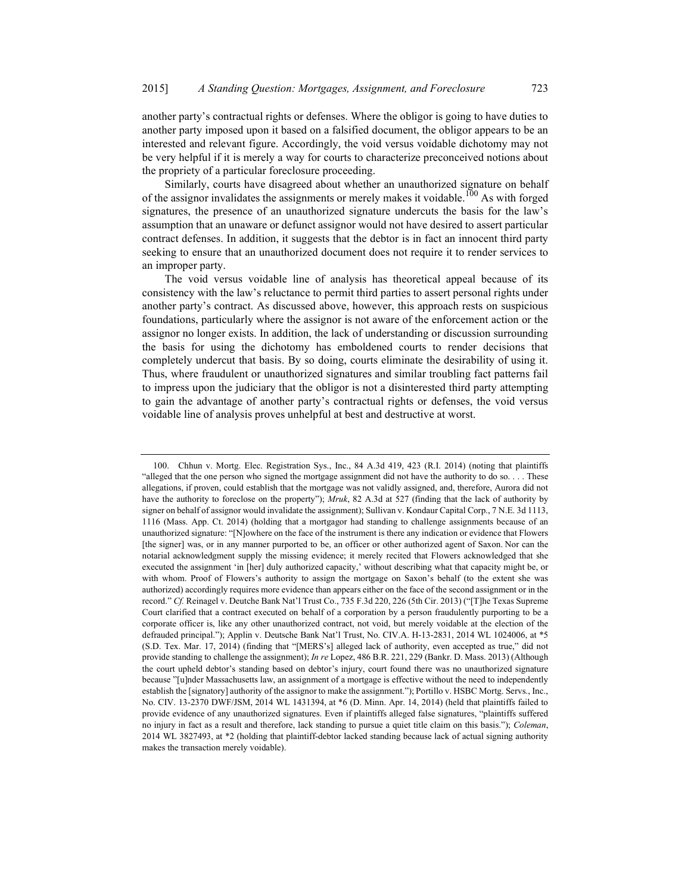another party's contractual rights or defenses. Where the obligor is going to have duties to another party imposed upon it based on a falsified document, the obligor appears to be an interested and relevant figure. Accordingly, the void versus voidable dichotomy may not be very helpful if it is merely a way for courts to characterize preconceived notions about the propriety of a particular foreclosure proceeding.

Similarly, courts have disagreed about whether an unauthorized signature on behalf of the assignor invalidates the assignments or merely makes it voidable.<sup>100</sup> As with forged signatures, the presence of an unauthorized signature undercuts the basis for the law's assumption that an unaware or defunct assignor would not have desired to assert particular contract defenses. In addition, it suggests that the debtor is in fact an innocent third party seeking to ensure that an unauthorized document does not require it to render services to an improper party.

The void versus voidable line of analysis has theoretical appeal because of its consistency with the law's reluctance to permit third parties to assert personal rights under another party's contract. As discussed above, however, this approach rests on suspicious foundations, particularly where the assignor is not aware of the enforcement action or the assignor no longer exists. In addition, the lack of understanding or discussion surrounding the basis for using the dichotomy has emboldened courts to render decisions that completely undercut that basis. By so doing, courts eliminate the desirability of using it. Thus, where fraudulent or unauthorized signatures and similar troubling fact patterns fail to impress upon the judiciary that the obligor is not a disinterested third party attempting to gain the advantage of another party's contractual rights or defenses, the void versus voidable line of analysis proves unhelpful at best and destructive at worst.

 <sup>100.</sup> Chhun v. Mortg. Elec. Registration Sys., Inc., 84 A.3d 419, 423 (R.I. 2014) (noting that plaintiffs "alleged that the one person who signed the mortgage assignment did not have the authority to do so. . . . These allegations, if proven, could establish that the mortgage was not validly assigned, and, therefore, Aurora did not have the authority to foreclose on the property"); Mruk, 82 A.3d at 527 (finding that the lack of authority by signer on behalf of assignor would invalidate the assignment); Sullivan v. Kondaur Capital Corp., 7 N.E. 3d 1113, 1116 (Mass. App. Ct. 2014) (holding that a mortgagor had standing to challenge assignments because of an unauthorized signature: "[N]owhere on the face of the instrument is there any indication or evidence that Flowers [the signer] was, or in any manner purported to be, an officer or other authorized agent of Saxon. Nor can the notarial acknowledgment supply the missing evidence; it merely recited that Flowers acknowledged that she executed the assignment 'in [her] duly authorized capacity,' without describing what that capacity might be, or with whom. Proof of Flowers's authority to assign the mortgage on Saxon's behalf (to the extent she was authorized) accordingly requires more evidence than appears either on the face of the second assignment or in the record." Cf. Reinagel v. Deutche Bank Nat'l Trust Co., 735 F.3d 220, 226 (5th Cir. 2013) ("[T]he Texas Supreme Court clarified that a contract executed on behalf of a corporation by a person fraudulently purporting to be a corporate officer is, like any other unauthorized contract, not void, but merely voidable at the election of the defrauded principal."); Applin v. Deutsche Bank Nat'l Trust, No. CIV.A. H-13-2831, 2014 WL 1024006, at \*5 (S.D. Tex. Mar. 17, 2014) (finding that "[MERS's] alleged lack of authority, even accepted as true," did not provide standing to challenge the assignment); In re Lopez, 486 B.R. 221, 229 (Bankr. D. Mass. 2013) (Although the court upheld debtor's standing based on debtor's injury, court found there was no unauthorized signature because "[u]nder Massachusetts law, an assignment of a mortgage is effective without the need to independently establish the [signatory] authority of the assignor to make the assignment."); Portillo v. HSBC Mortg. Servs., Inc., No. CIV. 13-2370 DWF/JSM, 2014 WL 1431394, at \*6 (D. Minn. Apr. 14, 2014) (held that plaintiffs failed to provide evidence of any unauthorized signatures. Even if plaintiffs alleged false signatures, "plaintiffs suffered no injury in fact as a result and therefore, lack standing to pursue a quiet title claim on this basis."); Coleman, 2014 WL 3827493, at \*2 (holding that plaintiff-debtor lacked standing because lack of actual signing authority makes the transaction merely voidable).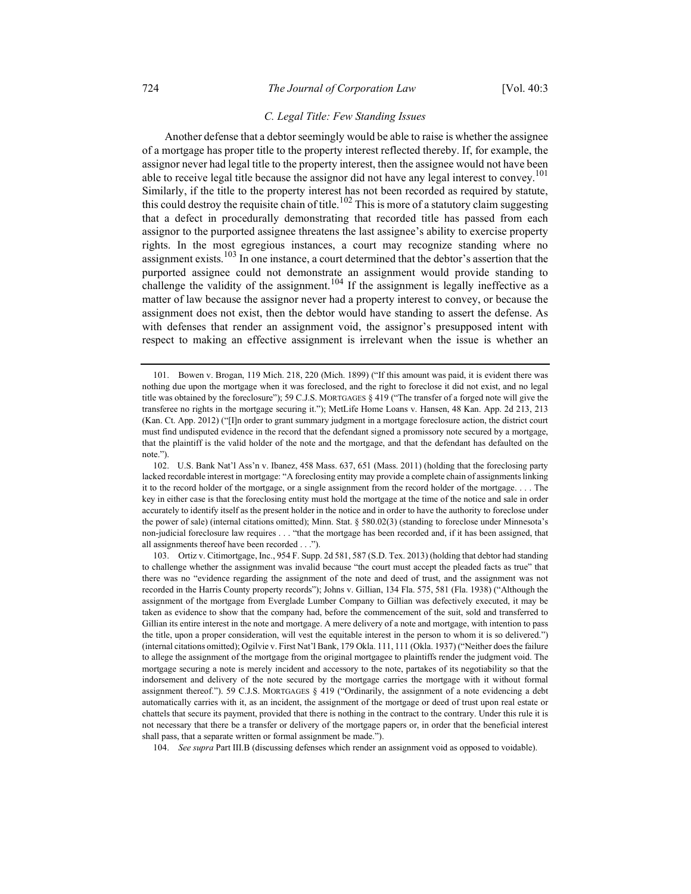## C. Legal Title: Few Standing Issues

Another defense that a debtor seemingly would be able to raise is whether the assignee of a mortgage has proper title to the property interest reflected thereby. If, for example, the assignor never had legal title to the property interest, then the assignee would not have been able to receive legal title because the assignor did not have any legal interest to convey.<sup>101</sup> Similarly, if the title to the property interest has not been recorded as required by statute, this could destroy the requisite chain of title.<sup>102</sup> This is more of a statutory claim suggesting that a defect in procedurally demonstrating that recorded title has passed from each assignor to the purported assignee threatens the last assignee's ability to exercise property rights. In the most egregious instances, a court may recognize standing where no assignment exists.<sup>103</sup> In one instance, a court determined that the debtor's assertion that the purported assignee could not demonstrate an assignment would provide standing to challenge the validity of the assignment.<sup>104</sup> If the assignment is legally ineffective as a matter of law because the assignor never had a property interest to convey, or because the assignment does not exist, then the debtor would have standing to assert the defense. As with defenses that render an assignment void, the assignor's presupposed intent with respect to making an effective assignment is irrelevant when the issue is whether an

104. See supra Part III.B (discussing defenses which render an assignment void as opposed to voidable).

 <sup>101.</sup> Bowen v. Brogan, 119 Mich. 218, 220 (Mich. 1899) ("If this amount was paid, it is evident there was nothing due upon the mortgage when it was foreclosed, and the right to foreclose it did not exist, and no legal title was obtained by the foreclosure"); 59 C.J.S. MORTGAGES § 419 ("The transfer of a forged note will give the transferee no rights in the mortgage securing it."); MetLife Home Loans v. Hansen, 48 Kan. App. 2d 213, 213 (Kan. Ct. App. 2012) ("[I]n order to grant summary judgment in a mortgage foreclosure action, the district court must find undisputed evidence in the record that the defendant signed a promissory note secured by a mortgage, that the plaintiff is the valid holder of the note and the mortgage, and that the defendant has defaulted on the note.").

<sup>102.</sup> U.S. Bank Nat'l Ass'n v. Ibanez, 458 Mass. 637, 651 (Mass. 2011) (holding that the foreclosing party lacked recordable interest in mortgage: "A foreclosing entity may provide a complete chain of assignments linking it to the record holder of the mortgage, or a single assignment from the record holder of the mortgage. . . . The key in either case is that the foreclosing entity must hold the mortgage at the time of the notice and sale in order accurately to identify itself as the present holder in the notice and in order to have the authority to foreclose under the power of sale) (internal citations omitted); Minn. Stat. § 580.02(3) (standing to foreclose under Minnesota's non-judicial foreclosure law requires . . . "that the mortgage has been recorded and, if it has been assigned, that all assignments thereof have been recorded . . .").

 <sup>103.</sup> Ortiz v. Citimortgage, Inc., 954 F. Supp. 2d 581, 587 (S.D. Tex. 2013) (holding that debtor had standing to challenge whether the assignment was invalid because "the court must accept the pleaded facts as true" that there was no "evidence regarding the assignment of the note and deed of trust, and the assignment was not recorded in the Harris County property records"); Johns v. Gillian, 134 Fla. 575, 581 (Fla. 1938) ("Although the assignment of the mortgage from Everglade Lumber Company to Gillian was defectively executed, it may be taken as evidence to show that the company had, before the commencement of the suit, sold and transferred to Gillian its entire interest in the note and mortgage. A mere delivery of a note and mortgage, with intention to pass the title, upon a proper consideration, will vest the equitable interest in the person to whom it is so delivered.") (internal citations omitted); Ogilvie v. First Nat'l Bank, 179 Okla. 111, 111 (Okla. 1937) ("Neither does the failure to allege the assignment of the mortgage from the original mortgagee to plaintiffs render the judgment void. The mortgage securing a note is merely incident and accessory to the note, partakes of its negotiability so that the indorsement and delivery of the note secured by the mortgage carries the mortgage with it without formal assignment thereof."). 59 C.J.S. MORTGAGES § 419 ("Ordinarily, the assignment of a note evidencing a debt automatically carries with it, as an incident, the assignment of the mortgage or deed of trust upon real estate or chattels that secure its payment, provided that there is nothing in the contract to the contrary. Under this rule it is not necessary that there be a transfer or delivery of the mortgage papers or, in order that the beneficial interest shall pass, that a separate written or formal assignment be made.").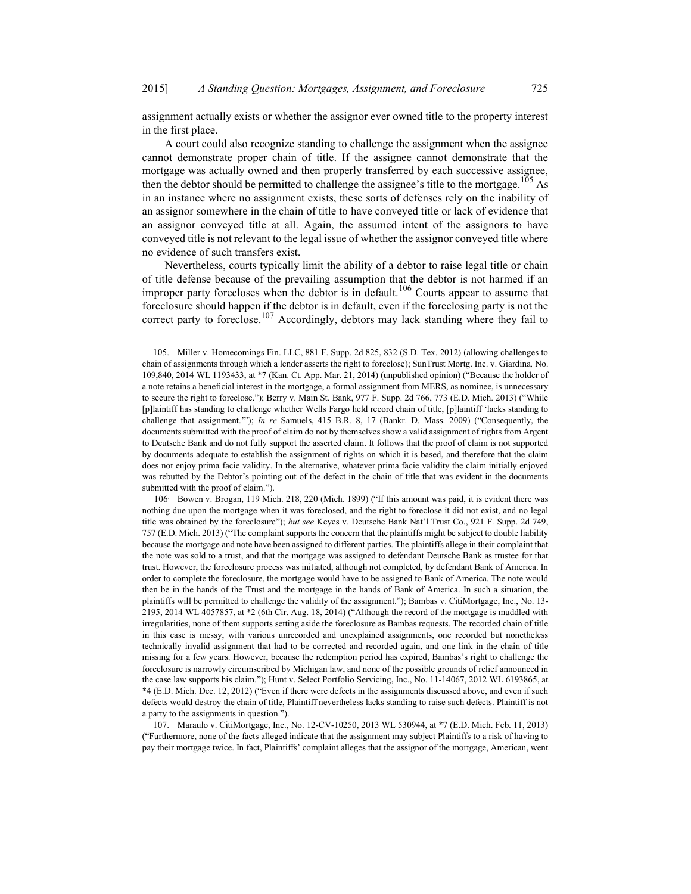assignment actually exists or whether the assignor ever owned title to the property interest in the first place.

A court could also recognize standing to challenge the assignment when the assignee cannot demonstrate proper chain of title. If the assignee cannot demonstrate that the mortgage was actually owned and then properly transferred by each successive assignee, then the debtor should be permitted to challenge the assignee's title to the mortgage.<sup>105</sup> As in an instance where no assignment exists, these sorts of defenses rely on the inability of an assignor somewhere in the chain of title to have conveyed title or lack of evidence that an assignor conveyed title at all. Again, the assumed intent of the assignors to have conveyed title is not relevant to the legal issue of whether the assignor conveyed title where no evidence of such transfers exist.

Nevertheless, courts typically limit the ability of a debtor to raise legal title or chain of title defense because of the prevailing assumption that the debtor is not harmed if an improper party forecloses when the debtor is in default.<sup>106</sup> Courts appear to assume that foreclosure should happen if the debtor is in default, even if the foreclosing party is not the correct party to foreclose.<sup>107</sup> Accordingly, debtors may lack standing where they fail to

106. Bowen v. Brogan, 119 Mich. 218, 220 (Mich. 1899) ("If this amount was paid, it is evident there was nothing due upon the mortgage when it was foreclosed, and the right to foreclose it did not exist, and no legal title was obtained by the foreclosure"); but see Keyes v. Deutsche Bank Nat'l Trust Co., 921 F. Supp. 2d 749, 757 (E.D. Mich. 2013) ("The complaint supports the concern that the plaintiffs might be subject to double liability because the mortgage and note have been assigned to different parties. The plaintiffs allege in their complaint that the note was sold to a trust, and that the mortgage was assigned to defendant Deutsche Bank as trustee for that trust. However, the foreclosure process was initiated, although not completed, by defendant Bank of America. In order to complete the foreclosure, the mortgage would have to be assigned to Bank of America. The note would then be in the hands of the Trust and the mortgage in the hands of Bank of America. In such a situation, the plaintiffs will be permitted to challenge the validity of the assignment."); Bambas v. CitiMortgage, Inc., No. 13- 2195, 2014 WL 4057857, at \*2 (6th Cir. Aug. 18, 2014) ("Although the record of the mortgage is muddled with irregularities, none of them supports setting aside the foreclosure as Bambas requests. The recorded chain of title in this case is messy, with various unrecorded and unexplained assignments, one recorded but nonetheless technically invalid assignment that had to be corrected and recorded again, and one link in the chain of title missing for a few years. However, because the redemption period has expired, Bambas's right to challenge the foreclosure is narrowly circumscribed by Michigan law, and none of the possible grounds of relief announced in the case law supports his claim."); Hunt v. Select Portfolio Servicing, Inc., No. 11-14067, 2012 WL 6193865, at \*4 (E.D. Mich. Dec. 12, 2012) ("Even if there were defects in the assignments discussed above, and even if such defects would destroy the chain of title, Plaintiff nevertheless lacks standing to raise such defects. Plaintiff is not a party to the assignments in question.").

107. Maraulo v. CitiMortgage, Inc., No. 12-CV-10250, 2013 WL 530944, at \*7 (E.D. Mich. Feb. 11, 2013) ("Furthermore, none of the facts alleged indicate that the assignment may subject Plaintiffs to a risk of having to pay their mortgage twice. In fact, Plaintiffs' complaint alleges that the assignor of the mortgage, American, went

<sup>105.</sup> Miller v. Homecomings Fin. LLC, 881 F. Supp. 2d 825, 832 (S.D. Tex. 2012) (allowing challenges to chain of assignments through which a lender asserts the right to foreclose); SunTrust Mortg. Inc. v. Giardina, No. 109,840, 2014 WL 1193433, at \*7 (Kan. Ct. App. Mar. 21, 2014) (unpublished opinion) ("Because the holder of a note retains a beneficial interest in the mortgage, a formal assignment from MERS, as nominee, is unnecessary to secure the right to foreclose."); Berry v. Main St. Bank, 977 F. Supp. 2d 766, 773 (E.D. Mich. 2013) ("While [p]laintiff has standing to challenge whether Wells Fargo held record chain of title, [p]laintiff 'lacks standing to challenge that assignment.""); In re Samuels, 415 B.R. 8, 17 (Bankr. D. Mass. 2009) ("Consequently, the documents submitted with the proof of claim do not by themselves show a valid assignment of rights from Argent to Deutsche Bank and do not fully support the asserted claim. It follows that the proof of claim is not supported by documents adequate to establish the assignment of rights on which it is based, and therefore that the claim does not enjoy prima facie validity. In the alternative, whatever prima facie validity the claim initially enjoyed was rebutted by the Debtor's pointing out of the defect in the chain of title that was evident in the documents submitted with the proof of claim.").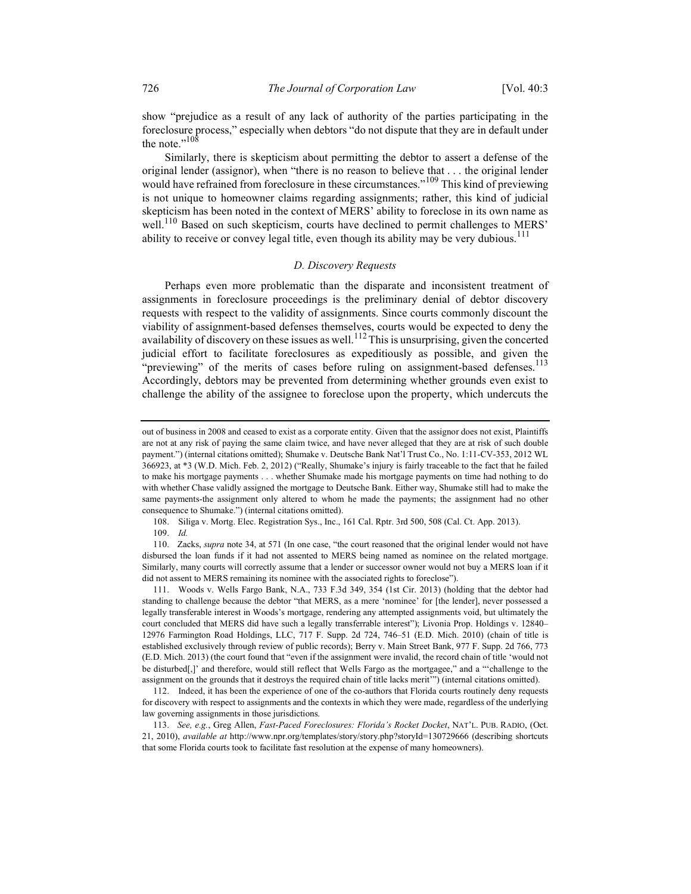show "prejudice as a result of any lack of authority of the parties participating in the foreclosure process," especially when debtors "do not dispute that they are in default under the note." $108$ 

Similarly, there is skepticism about permitting the debtor to assert a defense of the original lender (assignor), when "there is no reason to believe that . . . the original lender would have refrained from foreclosure in these circumstances."<sup>109</sup> This kind of previewing is not unique to homeowner claims regarding assignments; rather, this kind of judicial skepticism has been noted in the context of MERS' ability to foreclose in its own name as well.<sup>110</sup> Based on such skepticism, courts have declined to permit challenges to MERS' ability to receive or convey legal title, even though its ability may be very dubious.<sup>111</sup>

## D. Discovery Requests

Perhaps even more problematic than the disparate and inconsistent treatment of assignments in foreclosure proceedings is the preliminary denial of debtor discovery requests with respect to the validity of assignments. Since courts commonly discount the viability of assignment-based defenses themselves, courts would be expected to deny the availability of discovery on these issues as well.<sup>112</sup>This is unsurprising, given the concerted judicial effort to facilitate foreclosures as expeditiously as possible, and given the "previewing" of the merits of cases before ruling on assignment-based defenses.<sup>113</sup> Accordingly, debtors may be prevented from determining whether grounds even exist to challenge the ability of the assignee to foreclose upon the property, which undercuts the

108. Siliga v. Mortg. Elec. Registration Sys., Inc., 161 Cal. Rptr. 3rd 500, 508 (Cal. Ct. App. 2013).

109. Id.

110. Zacks, supra note 34, at 571 (In one case, "the court reasoned that the original lender would not have disbursed the loan funds if it had not assented to MERS being named as nominee on the related mortgage. Similarly, many courts will correctly assume that a lender or successor owner would not buy a MERS loan if it did not assent to MERS remaining its nominee with the associated rights to foreclose").

 111. Woods v. Wells Fargo Bank, N.A., 733 F.3d 349, 354 (1st Cir. 2013) (holding that the debtor had standing to challenge because the debtor "that MERS, as a mere 'nominee' for [the lender], never possessed a legally transferable interest in Woods's mortgage, rendering any attempted assignments void, but ultimately the court concluded that MERS did have such a legally transferrable interest"); Livonia Prop. Holdings v. 12840– 12976 Farmington Road Holdings, LLC, 717 F. Supp. 2d 724, 746–51 (E.D. Mich. 2010) (chain of title is established exclusively through review of public records); Berry v. Main Street Bank, 977 F. Supp. 2d 766, 773 (E.D. Mich. 2013) (the court found that "even if the assignment were invalid, the record chain of title 'would not be disturbed[,]' and therefore, would still reflect that Wells Fargo as the mortgagee," and a "'challenge to the assignment on the grounds that it destroys the required chain of title lacks merit'") (internal citations omitted).

 112. Indeed, it has been the experience of one of the co-authors that Florida courts routinely deny requests for discovery with respect to assignments and the contexts in which they were made, regardless of the underlying law governing assignments in those jurisdictions.

113. See, e.g., Greg Allen, Fast-Paced Foreclosures: Florida's Rocket Docket, NAT'L. PUB. RADIO, (Oct. 21, 2010), available at http://www.npr.org/templates/story/story.php?storyId=130729666 (describing shortcuts that some Florida courts took to facilitate fast resolution at the expense of many homeowners).

out of business in 2008 and ceased to exist as a corporate entity. Given that the assignor does not exist, Plaintiffs are not at any risk of paying the same claim twice, and have never alleged that they are at risk of such double payment.") (internal citations omitted); Shumake v. Deutsche Bank Nat'l Trust Co., No. 1:11-CV-353, 2012 WL 366923, at \*3 (W.D. Mich. Feb. 2, 2012) ("Really, Shumake's injury is fairly traceable to the fact that he failed to make his mortgage payments . . . whether Shumake made his mortgage payments on time had nothing to do with whether Chase validly assigned the mortgage to Deutsche Bank. Either way, Shumake still had to make the same payments-the assignment only altered to whom he made the payments; the assignment had no other consequence to Shumake.") (internal citations omitted).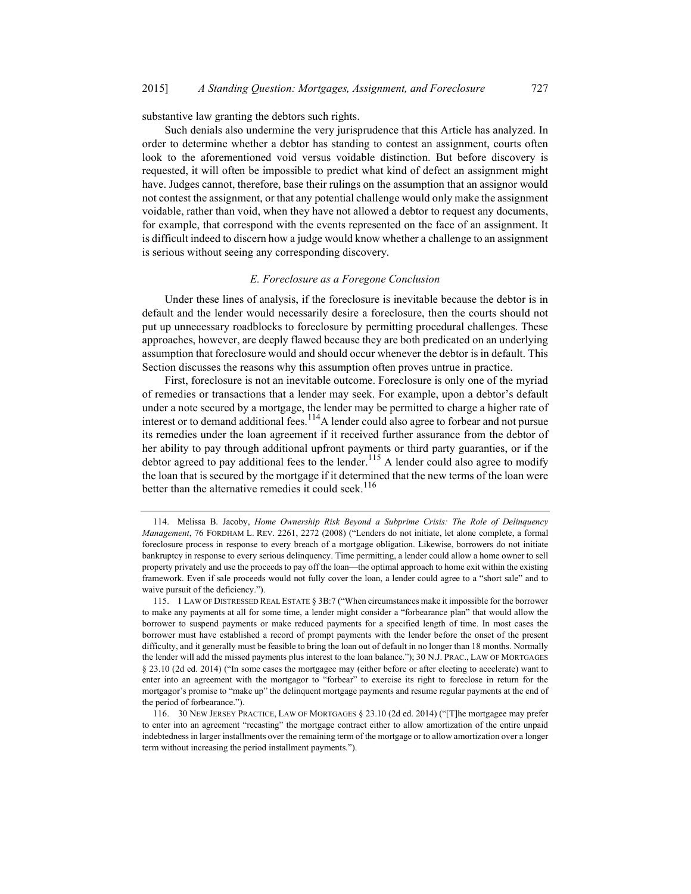substantive law granting the debtors such rights.

Such denials also undermine the very jurisprudence that this Article has analyzed. In order to determine whether a debtor has standing to contest an assignment, courts often look to the aforementioned void versus voidable distinction. But before discovery is requested, it will often be impossible to predict what kind of defect an assignment might have. Judges cannot, therefore, base their rulings on the assumption that an assignor would not contest the assignment, or that any potential challenge would only make the assignment voidable, rather than void, when they have not allowed a debtor to request any documents, for example, that correspond with the events represented on the face of an assignment. It is difficult indeed to discern how a judge would know whether a challenge to an assignment is serious without seeing any corresponding discovery.

#### E. Foreclosure as a Foregone Conclusion

Under these lines of analysis, if the foreclosure is inevitable because the debtor is in default and the lender would necessarily desire a foreclosure, then the courts should not put up unnecessary roadblocks to foreclosure by permitting procedural challenges. These approaches, however, are deeply flawed because they are both predicated on an underlying assumption that foreclosure would and should occur whenever the debtor is in default. This Section discusses the reasons why this assumption often proves untrue in practice.

First, foreclosure is not an inevitable outcome. Foreclosure is only one of the myriad of remedies or transactions that a lender may seek. For example, upon a debtor's default under a note secured by a mortgage, the lender may be permitted to charge a higher rate of interest or to demand additional fees.<sup>114</sup>A lender could also agree to forbear and not pursue its remedies under the loan agreement if it received further assurance from the debtor of her ability to pay through additional upfront payments or third party guaranties, or if the debtor agreed to pay additional fees to the lender.<sup>115</sup> A lender could also agree to modify the loan that is secured by the mortgage if it determined that the new terms of the loan were better than the alternative remedies it could seek.<sup>116</sup>

<sup>114.</sup> Melissa B. Jacoby, Home Ownership Risk Beyond a Subprime Crisis: The Role of Delinquency Management, 76 FORDHAM L. REV. 2261, 2272 (2008) ("Lenders do not initiate, let alone complete, a formal foreclosure process in response to every breach of a mortgage obligation. Likewise, borrowers do not initiate bankruptcy in response to every serious delinquency. Time permitting, a lender could allow a home owner to sell property privately and use the proceeds to pay off the loan—the optimal approach to home exit within the existing framework. Even if sale proceeds would not fully cover the loan, a lender could agree to a "short sale" and to waive pursuit of the deficiency.").

<sup>115.</sup> 1 LAW OF DISTRESSED REAL ESTATE § 3B:7 ("When circumstances make it impossible for the borrower to make any payments at all for some time, a lender might consider a "forbearance plan" that would allow the borrower to suspend payments or make reduced payments for a specified length of time. In most cases the borrower must have established a record of prompt payments with the lender before the onset of the present difficulty, and it generally must be feasible to bring the loan out of default in no longer than 18 months. Normally the lender will add the missed payments plus interest to the loan balance."); 30 N.J. PRAC., LAW OF MORTGAGES § 23.10 (2d ed. 2014) ("In some cases the mortgagee may (either before or after electing to accelerate) want to enter into an agreement with the mortgagor to "forbear" to exercise its right to foreclose in return for the mortgagor's promise to "make up" the delinquent mortgage payments and resume regular payments at the end of the period of forbearance.").

 <sup>116. 30</sup> NEW JERSEY PRACTICE, LAW OF MORTGAGES § 23.10 (2d ed. 2014) ("[T]he mortgagee may prefer to enter into an agreement "recasting" the mortgage contract either to allow amortization of the entire unpaid indebtedness in larger installments over the remaining term of the mortgage or to allow amortization over a longer term without increasing the period installment payments.").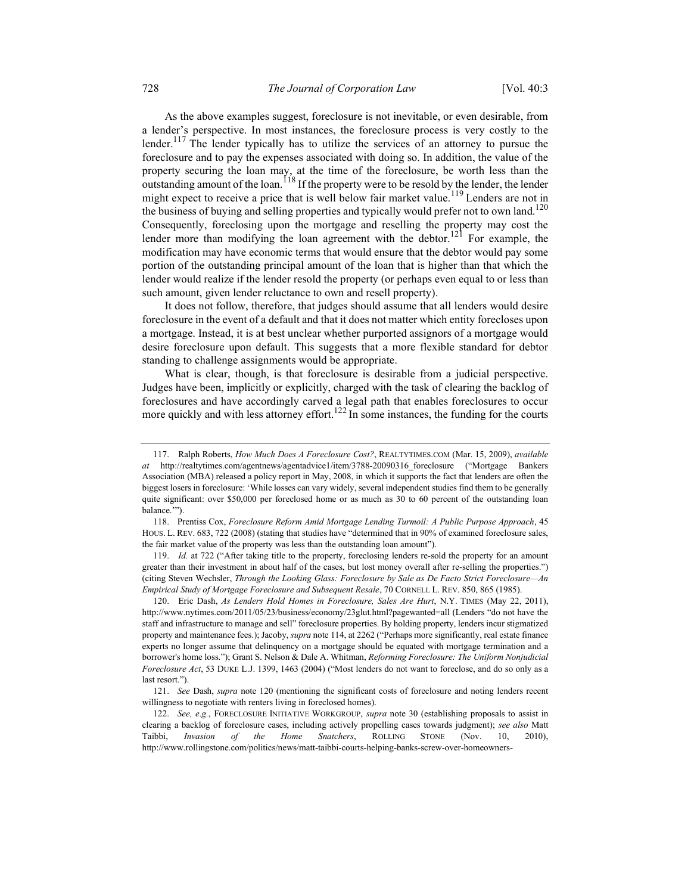As the above examples suggest, foreclosure is not inevitable, or even desirable, from a lender's perspective. In most instances, the foreclosure process is very costly to the lender.<sup>117</sup> The lender typically has to utilize the services of an attorney to pursue the foreclosure and to pay the expenses associated with doing so. In addition, the value of the property securing the loan may, at the time of the foreclosure, be worth less than the outstanding amount of the loan.  $^{118}$  If the property were to be resold by the lender, the lender might expect to receive a price that is well below fair market value.<sup>119</sup> Lenders are not in the business of buying and selling properties and typically would prefer not to own land.<sup>120</sup> Consequently, foreclosing upon the mortgage and reselling the property may cost the lender more than modifying the loan agreement with the debtor.<sup>121</sup> For example, the modification may have economic terms that would ensure that the debtor would pay some portion of the outstanding principal amount of the loan that is higher than that which the lender would realize if the lender resold the property (or perhaps even equal to or less than such amount, given lender reluctance to own and resell property).

It does not follow, therefore, that judges should assume that all lenders would desire foreclosure in the event of a default and that it does not matter which entity forecloses upon a mortgage. Instead, it is at best unclear whether purported assignors of a mortgage would desire foreclosure upon default. This suggests that a more flexible standard for debtor standing to challenge assignments would be appropriate.

What is clear, though, is that foreclosure is desirable from a judicial perspective. Judges have been, implicitly or explicitly, charged with the task of clearing the backlog of foreclosures and have accordingly carved a legal path that enables foreclosures to occur more quickly and with less attorney effort.<sup>122</sup> In some instances, the funding for the courts

 119. Id. at 722 ("After taking title to the property, foreclosing lenders re-sold the property for an amount greater than their investment in about half of the cases, but lost money overall after re-selling the properties.") (citing Steven Wechsler, Through the Looking Glass: Foreclosure by Sale as De Facto Strict Foreclosure—An Empirical Study of Mortgage Foreclosure and Subsequent Resale, 70 CORNELL L. REV. 850, 865 (1985).

120. Eric Dash, As Lenders Hold Homes in Foreclosure, Sales Are Hurt, N.Y. TIMES (May 22, 2011), http://www.nytimes.com/2011/05/23/business/economy/23glut.html?pagewanted=all (Lenders "do not have the staff and infrastructure to manage and sell" foreclosure properties. By holding property, lenders incur stigmatized property and maintenance fees.); Jacoby, *supra* note 114, at 2262 ("Perhaps more significantly, real estate finance experts no longer assume that delinquency on a mortgage should be equated with mortgage termination and a borrower's home loss."); Grant S. Nelson & Dale A. Whitman, Reforming Foreclosure: The Uniform Nonjudicial Foreclosure Act, 53 DUKE L.J. 1399, 1463 (2004) ("Most lenders do not want to foreclose, and do so only as a last resort.").

121. See Dash, supra note 120 (mentioning the significant costs of foreclosure and noting lenders recent willingness to negotiate with renters living in foreclosed homes).

122. See, e.g., FORECLOSURE INITIATIVE WORKGROUP, supra note 30 (establishing proposals to assist in clearing a backlog of foreclosure cases, including actively propelling cases towards judgment); see also Matt Taibbi, Invasion of the Home Snatchers, ROLLING STONE (Nov. 10, 2010), http://www.rollingstone.com/politics/news/matt-taibbi-courts-helping-banks-screw-over-homeowners-

 <sup>117.</sup> Ralph Roberts, How Much Does A Foreclosure Cost?, REALTYTIMES.COM (Mar. 15, 2009), available at http://realtytimes.com/agentnews/agentadvice1/item/3788-20090316 foreclosure ("Mortgage Bankers Association (MBA) released a policy report in May, 2008, in which it supports the fact that lenders are often the biggest losers in foreclosure: 'While losses can vary widely, several independent studies find them to be generally quite significant: over \$50,000 per foreclosed home or as much as 30 to 60 percent of the outstanding loan balance.'").

<sup>118.</sup> Prentiss Cox, Foreclosure Reform Amid Mortgage Lending Turmoil: A Public Purpose Approach, 45 HOUS. L. REV. 683, 722 (2008) (stating that studies have "determined that in 90% of examined foreclosure sales, the fair market value of the property was less than the outstanding loan amount").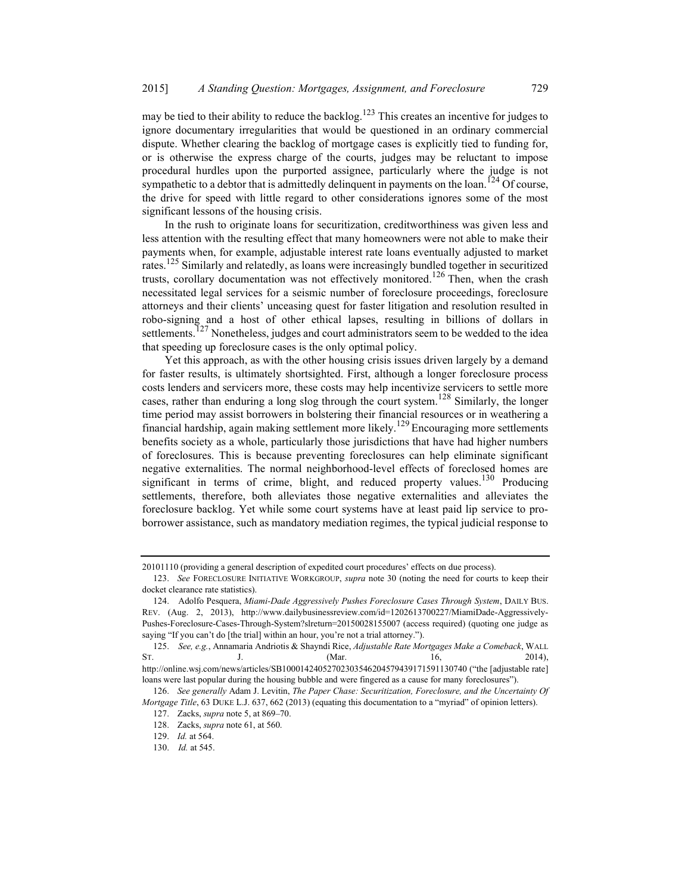may be tied to their ability to reduce the backlog.<sup>123</sup> This creates an incentive for judges to ignore documentary irregularities that would be questioned in an ordinary commercial dispute. Whether clearing the backlog of mortgage cases is explicitly tied to funding for, or is otherwise the express charge of the courts, judges may be reluctant to impose procedural hurdles upon the purported assignee, particularly where the judge is not sympathetic to a debtor that is admittedly delinguent in payments on the loan.<sup>124</sup> Of course, the drive for speed with little regard to other considerations ignores some of the most significant lessons of the housing crisis.

In the rush to originate loans for securitization, creditworthiness was given less and less attention with the resulting effect that many homeowners were not able to make their payments when, for example, adjustable interest rate loans eventually adjusted to market rates.<sup>125</sup> Similarly and relatedly, as loans were increasingly bundled together in securitized trusts, corollary documentation was not effectively monitored.<sup>126</sup> Then, when the crash necessitated legal services for a seismic number of foreclosure proceedings, foreclosure attorneys and their clients' unceasing quest for faster litigation and resolution resulted in robo-signing and a host of other ethical lapses, resulting in billions of dollars in settlements.<sup>127</sup> Nonetheless, judges and court administrators seem to be wedded to the idea that speeding up foreclosure cases is the only optimal policy.

Yet this approach, as with the other housing crisis issues driven largely by a demand for faster results, is ultimately shortsighted. First, although a longer foreclosure process costs lenders and servicers more, these costs may help incentivize servicers to settle more cases, rather than enduring a long slog through the court system.<sup>128</sup> Similarly, the longer time period may assist borrowers in bolstering their financial resources or in weathering a financial hardship, again making settlement more likely.<sup>129</sup> Encouraging more settlements benefits society as a whole, particularly those jurisdictions that have had higher numbers of foreclosures. This is because preventing foreclosures can help eliminate significant negative externalities. The normal neighborhood-level effects of foreclosed homes are significant in terms of crime, blight, and reduced property values.<sup>130</sup> Producing settlements, therefore, both alleviates those negative externalities and alleviates the foreclosure backlog. Yet while some court systems have at least paid lip service to proborrower assistance, such as mandatory mediation regimes, the typical judicial response to

<sup>20101110 (</sup>providing a general description of expedited court procedures' effects on due process).

<sup>123.</sup> See FORECLOSURE INITIATIVE WORKGROUP, supra note 30 (noting the need for courts to keep their docket clearance rate statistics).

<sup>124.</sup> Adolfo Pesquera, Miami-Dade Aggressively Pushes Foreclosure Cases Through System, DAILY BUS. REV. (Aug. 2, 2013), http://www.dailybusinessreview.com/id=1202613700227/MiamiDade-Aggressively-Pushes-Foreclosure-Cases-Through-System?slreturn=20150028155007 (access required) (quoting one judge as saying "If you can't do [the trial] within an hour, you're not a trial attorney.").

<sup>125.</sup> See, e.g., Annamaria Andriotis & Shayndi Rice, Adjustable Rate Mortgages Make a Comeback, WALL ST. J. J. (Mar. 16, 2014), http://online.wsj.com/news/articles/SB10001424052702303546204579439171591130740 ("the [adjustable rate] loans were last popular during the housing bubble and were fingered as a cause for many foreclosures").

<sup>126.</sup> See generally Adam J. Levitin, The Paper Chase: Securitization, Foreclosure, and the Uncertainty Of Mortgage Title, 63 DUKE L.J. 637, 662 (2013) (equating this documentation to a "myriad" of opinion letters).

<sup>127.</sup> Zacks, supra note 5, at 869–70.

<sup>128.</sup> Zacks, supra note 61, at 560.

<sup>129.</sup> Id. at 564.

 <sup>130.</sup> Id. at 545.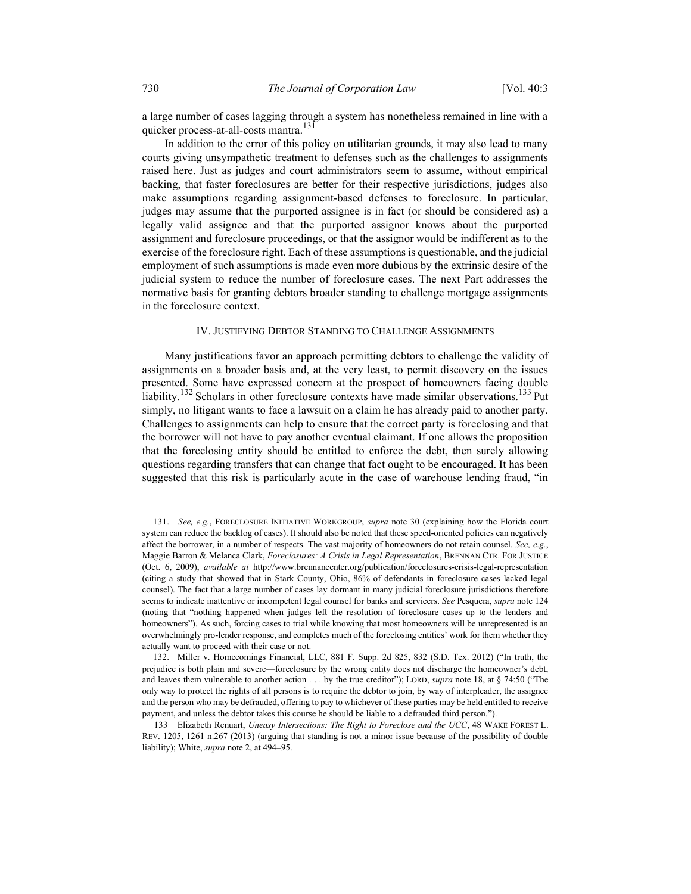a large number of cases lagging through a system has nonetheless remained in line with a quicker process-at-all-costs mantra.<sup>131</sup>

In addition to the error of this policy on utilitarian grounds, it may also lead to many courts giving unsympathetic treatment to defenses such as the challenges to assignments raised here. Just as judges and court administrators seem to assume, without empirical backing, that faster foreclosures are better for their respective jurisdictions, judges also make assumptions regarding assignment-based defenses to foreclosure. In particular, judges may assume that the purported assignee is in fact (or should be considered as) a legally valid assignee and that the purported assignor knows about the purported assignment and foreclosure proceedings, or that the assignor would be indifferent as to the exercise of the foreclosure right. Each of these assumptions is questionable, and the judicial employment of such assumptions is made even more dubious by the extrinsic desire of the judicial system to reduce the number of foreclosure cases. The next Part addresses the normative basis for granting debtors broader standing to challenge mortgage assignments in the foreclosure context.

### IV. JUSTIFYING DEBTOR STANDING TO CHALLENGE ASSIGNMENTS

Many justifications favor an approach permitting debtors to challenge the validity of assignments on a broader basis and, at the very least, to permit discovery on the issues presented. Some have expressed concern at the prospect of homeowners facing double liability.<sup>132</sup> Scholars in other foreclosure contexts have made similar observations.<sup>133</sup> Put simply, no litigant wants to face a lawsuit on a claim he has already paid to another party. Challenges to assignments can help to ensure that the correct party is foreclosing and that the borrower will not have to pay another eventual claimant. If one allows the proposition that the foreclosing entity should be entitled to enforce the debt, then surely allowing questions regarding transfers that can change that fact ought to be encouraged. It has been suggested that this risk is particularly acute in the case of warehouse lending fraud, "in

<sup>131.</sup> See, e.g., FORECLOSURE INITIATIVE WORKGROUP, supra note 30 (explaining how the Florida court system can reduce the backlog of cases). It should also be noted that these speed-oriented policies can negatively affect the borrower, in a number of respects. The vast majority of homeowners do not retain counsel. See, e.g., Maggie Barron & Melanca Clark, Foreclosures: A Crisis in Legal Representation, BRENNAN CTR. FOR JUSTICE (Oct. 6, 2009), available at http://www.brennancenter.org/publication/foreclosures-crisis-legal-representation (citing a study that showed that in Stark County, Ohio, 86% of defendants in foreclosure cases lacked legal counsel). The fact that a large number of cases lay dormant in many judicial foreclosure jurisdictions therefore seems to indicate inattentive or incompetent legal counsel for banks and servicers. See Pesquera, supra note 124 (noting that "nothing happened when judges left the resolution of foreclosure cases up to the lenders and homeowners"). As such, forcing cases to trial while knowing that most homeowners will be unrepresented is an overwhelmingly pro-lender response, and completes much of the foreclosing entities' work for them whether they actually want to proceed with their case or not.

<sup>132.</sup> Miller v. Homecomings Financial, LLC, 881 F. Supp. 2d 825, 832 (S.D. Tex. 2012) ("In truth, the prejudice is both plain and severe—foreclosure by the wrong entity does not discharge the homeowner's debt, and leaves them vulnerable to another action  $\dots$  by the true creditor"); LORD, supra note 18, at § 74:50 ("The only way to protect the rights of all persons is to require the debtor to join, by way of interpleader, the assignee and the person who may be defrauded, offering to pay to whichever of these parties may be held entitled to receive payment, and unless the debtor takes this course he should be liable to a defrauded third person.").

<sup>133</sup>. Elizabeth Renuart, Uneasy Intersections: The Right to Foreclose and the UCC, 48 WAKE FOREST L. REV. 1205, 1261 n.267 (2013) (arguing that standing is not a minor issue because of the possibility of double liability); White, *supra* note 2, at 494–95.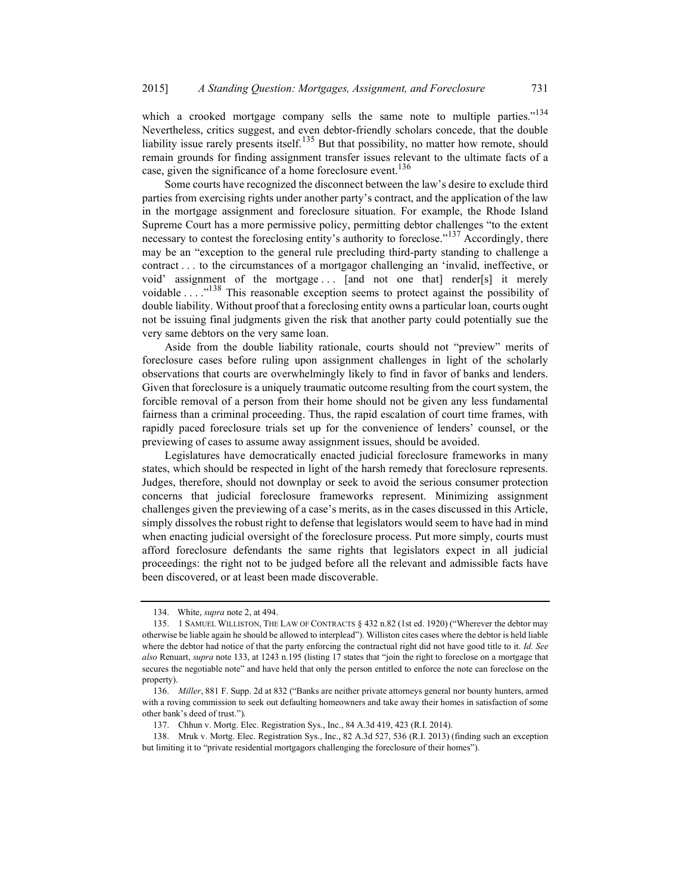which a crooked mortgage company sells the same note to multiple parties."<sup>134</sup> Nevertheless, critics suggest, and even debtor-friendly scholars concede, that the double liability issue rarely presents itself.<sup>135</sup> But that possibility, no matter how remote, should remain grounds for finding assignment transfer issues relevant to the ultimate facts of a case, given the significance of a home foreclosure event.<sup>136</sup>

Some courts have recognized the disconnect between the law's desire to exclude third parties from exercising rights under another party's contract, and the application of the law in the mortgage assignment and foreclosure situation. For example, the Rhode Island Supreme Court has a more permissive policy, permitting debtor challenges "to the extent necessary to contest the foreclosing entity's authority to foreclose."<sup>137</sup> Accordingly, there may be an "exception to the general rule precluding third-party standing to challenge a contract . . . to the circumstances of a mortgagor challenging an 'invalid, ineffective, or void' assignment of the mortgage . . . [and not one that] render[s] it merely voidable . . . .<sup>,138</sup> This reasonable exception seems to protect against the possibility of double liability. Without proof that a foreclosing entity owns a particular loan, courts ought not be issuing final judgments given the risk that another party could potentially sue the very same debtors on the very same loan.

Aside from the double liability rationale, courts should not "preview" merits of foreclosure cases before ruling upon assignment challenges in light of the scholarly observations that courts are overwhelmingly likely to find in favor of banks and lenders. Given that foreclosure is a uniquely traumatic outcome resulting from the court system, the forcible removal of a person from their home should not be given any less fundamental fairness than a criminal proceeding. Thus, the rapid escalation of court time frames, with rapidly paced foreclosure trials set up for the convenience of lenders' counsel, or the previewing of cases to assume away assignment issues, should be avoided.

Legislatures have democratically enacted judicial foreclosure frameworks in many states, which should be respected in light of the harsh remedy that foreclosure represents. Judges, therefore, should not downplay or seek to avoid the serious consumer protection concerns that judicial foreclosure frameworks represent. Minimizing assignment challenges given the previewing of a case's merits, as in the cases discussed in this Article, simply dissolves the robust right to defense that legislators would seem to have had in mind when enacting judicial oversight of the foreclosure process. Put more simply, courts must afford foreclosure defendants the same rights that legislators expect in all judicial proceedings: the right not to be judged before all the relevant and admissible facts have been discovered, or at least been made discoverable.

<sup>134.</sup> White, *supra* note 2, at 494.

 <sup>135. 1</sup> SAMUEL WILLISTON, THE LAW OF CONTRACTS § 432 n.82 (1st ed. 1920) ("Wherever the debtor may otherwise be liable again he should be allowed to interplead"). Williston cites cases where the debtor is held liable where the debtor had notice of that the party enforcing the contractual right did not have good title to it. Id. See also Renuart, supra note 133, at 1243 n.195 (listing 17 states that "join the right to foreclose on a mortgage that secures the negotiable note" and have held that only the person entitled to enforce the note can foreclose on the property).

 <sup>136.</sup> Miller, 881 F. Supp. 2d at 832 ("Banks are neither private attorneys general nor bounty hunters, armed with a roving commission to seek out defaulting homeowners and take away their homes in satisfaction of some other bank's deed of trust.").

 <sup>137.</sup> Chhun v. Mortg. Elec. Registration Sys., Inc., 84 A.3d 419, 423 (R.I. 2014).

 <sup>138.</sup> Mruk v. Mortg. Elec. Registration Sys., Inc., 82 A.3d 527, 536 (R.I. 2013) (finding such an exception but limiting it to "private residential mortgagors challenging the foreclosure of their homes").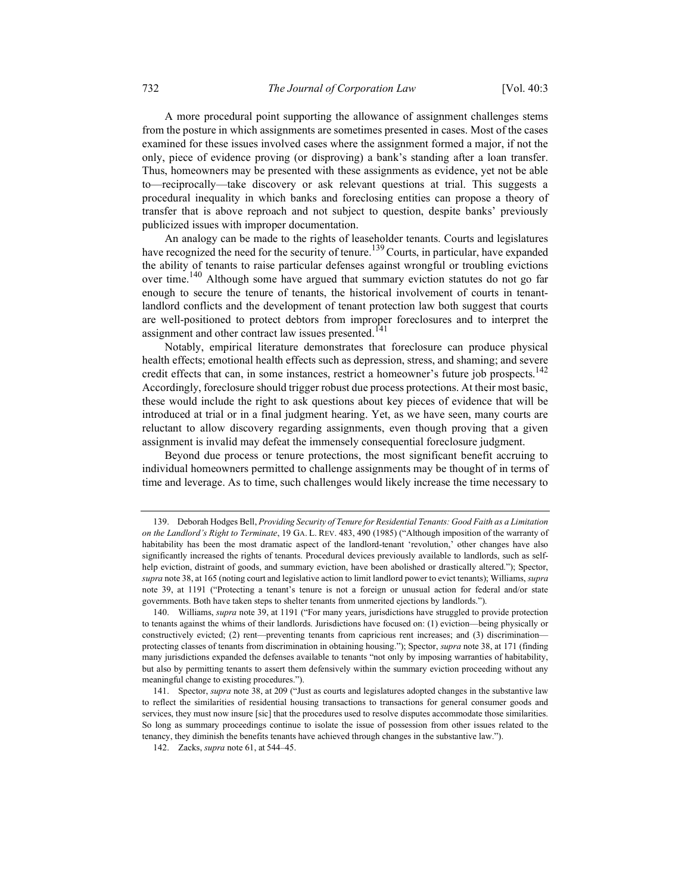A more procedural point supporting the allowance of assignment challenges stems from the posture in which assignments are sometimes presented in cases. Most of the cases examined for these issues involved cases where the assignment formed a major, if not the only, piece of evidence proving (or disproving) a bank's standing after a loan transfer. Thus, homeowners may be presented with these assignments as evidence, yet not be able to—reciprocally—take discovery or ask relevant questions at trial. This suggests a procedural inequality in which banks and foreclosing entities can propose a theory of transfer that is above reproach and not subject to question, despite banks' previously publicized issues with improper documentation.

An analogy can be made to the rights of leaseholder tenants. Courts and legislatures have recognized the need for the security of tenure.<sup>139</sup> Courts, in particular, have expanded the ability of tenants to raise particular defenses against wrongful or troubling evictions over time.<sup>140</sup> Although some have argued that summary eviction statutes do not go far enough to secure the tenure of tenants, the historical involvement of courts in tenantlandlord conflicts and the development of tenant protection law both suggest that courts are well-positioned to protect debtors from improper foreclosures and to interpret the assignment and other contract law issues presented.<sup>141</sup>

Notably, empirical literature demonstrates that foreclosure can produce physical health effects; emotional health effects such as depression, stress, and shaming; and severe credit effects that can, in some instances, restrict a homeowner's future job prospects.<sup>142</sup> Accordingly, foreclosure should trigger robust due process protections. At their most basic, these would include the right to ask questions about key pieces of evidence that will be introduced at trial or in a final judgment hearing. Yet, as we have seen, many courts are reluctant to allow discovery regarding assignments, even though proving that a given assignment is invalid may defeat the immensely consequential foreclosure judgment.

Beyond due process or tenure protections, the most significant benefit accruing to individual homeowners permitted to challenge assignments may be thought of in terms of time and leverage. As to time, such challenges would likely increase the time necessary to

<sup>139.</sup> Deborah Hodges Bell, Providing Security of Tenure for Residential Tenants: Good Faith as a Limitation on the Landlord's Right to Terminate, 19 GA. L. REV. 483, 490 (1985) ("Although imposition of the warranty of habitability has been the most dramatic aspect of the landlord-tenant 'revolution,' other changes have also significantly increased the rights of tenants. Procedural devices previously available to landlords, such as selfhelp eviction, distraint of goods, and summary eviction, have been abolished or drastically altered."); Spector, supra note 38, at 165 (noting court and legislative action to limit landlord power to evict tenants); Williams, supra note 39, at 1191 ("Protecting a tenant's tenure is not a foreign or unusual action for federal and/or state governments. Both have taken steps to shelter tenants from unmerited ejections by landlords.").

<sup>140.</sup> Williams, supra note 39, at 1191 ("For many years, jurisdictions have struggled to provide protection to tenants against the whims of their landlords. Jurisdictions have focused on: (1) eviction—being physically or constructively evicted; (2) rent—preventing tenants from capricious rent increases; and (3) discrimination protecting classes of tenants from discrimination in obtaining housing."); Spector, supra note 38, at 171 (finding many jurisdictions expanded the defenses available to tenants "not only by imposing warranties of habitability, but also by permitting tenants to assert them defensively within the summary eviction proceeding without any meaningful change to existing procedures.").

 <sup>141.</sup> Spector, supra note 38, at 209 ("Just as courts and legislatures adopted changes in the substantive law to reflect the similarities of residential housing transactions to transactions for general consumer goods and services, they must now insure [sic] that the procedures used to resolve disputes accommodate those similarities. So long as summary proceedings continue to isolate the issue of possession from other issues related to the tenancy, they diminish the benefits tenants have achieved through changes in the substantive law.").

 <sup>142.</sup> Zacks, supra note 61, at 544–45.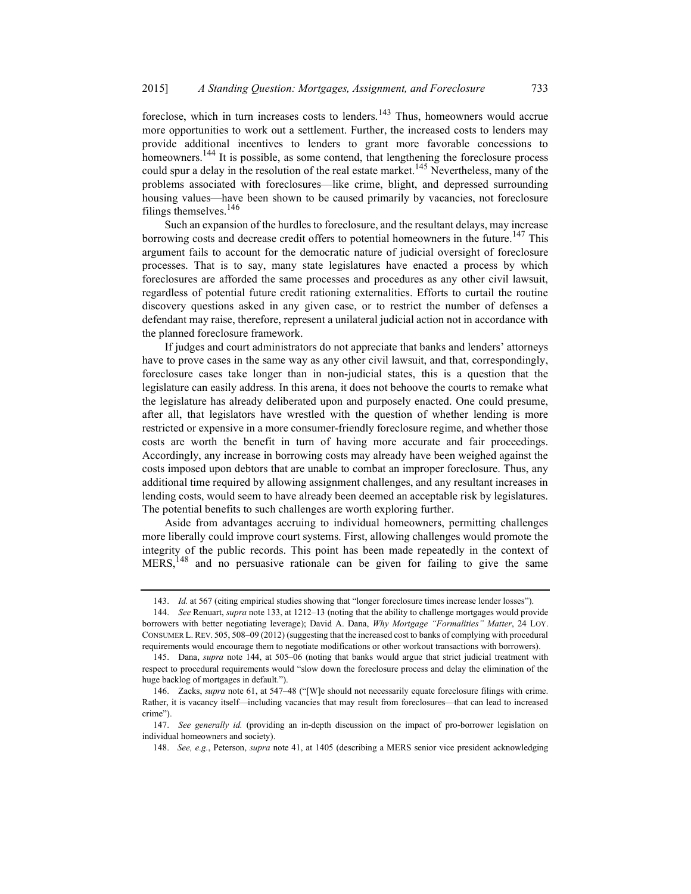foreclose, which in turn increases costs to lenders.<sup>143</sup> Thus, homeowners would accrue more opportunities to work out a settlement. Further, the increased costs to lenders may provide additional incentives to lenders to grant more favorable concessions to homeowners.<sup>144</sup> It is possible, as some contend, that lengthening the foreclosure process could spur a delay in the resolution of the real estate market.<sup>145</sup> Nevertheless, many of the problems associated with foreclosures—like crime, blight, and depressed surrounding housing values—have been shown to be caused primarily by vacancies, not foreclosure filings themselves.<sup>146</sup>

Such an expansion of the hurdles to foreclosure, and the resultant delays, may increase borrowing costs and decrease credit offers to potential homeowners in the future.<sup>147</sup> This argument fails to account for the democratic nature of judicial oversight of foreclosure processes. That is to say, many state legislatures have enacted a process by which foreclosures are afforded the same processes and procedures as any other civil lawsuit, regardless of potential future credit rationing externalities. Efforts to curtail the routine discovery questions asked in any given case, or to restrict the number of defenses a defendant may raise, therefore, represent a unilateral judicial action not in accordance with the planned foreclosure framework.

If judges and court administrators do not appreciate that banks and lenders' attorneys have to prove cases in the same way as any other civil lawsuit, and that, correspondingly, foreclosure cases take longer than in non-judicial states, this is a question that the legislature can easily address. In this arena, it does not behoove the courts to remake what the legislature has already deliberated upon and purposely enacted. One could presume, after all, that legislators have wrestled with the question of whether lending is more restricted or expensive in a more consumer-friendly foreclosure regime, and whether those costs are worth the benefit in turn of having more accurate and fair proceedings. Accordingly, any increase in borrowing costs may already have been weighed against the costs imposed upon debtors that are unable to combat an improper foreclosure. Thus, any additional time required by allowing assignment challenges, and any resultant increases in lending costs, would seem to have already been deemed an acceptable risk by legislatures. The potential benefits to such challenges are worth exploring further.

Aside from advantages accruing to individual homeowners, permitting challenges more liberally could improve court systems. First, allowing challenges would promote the integrity of the public records. This point has been made repeatedly in the context of  $MERS$ ,<sup>148</sup> and no persuasive rationale can be given for failing to give the same

 <sup>143.</sup> Id. at 567 (citing empirical studies showing that "longer foreclosure times increase lender losses").

<sup>144.</sup> See Renuart, supra note 133, at 1212–13 (noting that the ability to challenge mortgages would provide borrowers with better negotiating leverage); David A. Dana, Why Mortgage "Formalities" Matter, 24 LOY. CONSUMER L. REV. 505, 508–09 (2012) (suggesting that the increased cost to banks of complying with procedural requirements would encourage them to negotiate modifications or other workout transactions with borrowers).

 <sup>145.</sup> Dana, supra note 144, at 505–06 (noting that banks would argue that strict judicial treatment with respect to procedural requirements would "slow down the foreclosure process and delay the elimination of the huge backlog of mortgages in default.").

 <sup>146.</sup> Zacks, supra note 61, at 547–48 ("[W]e should not necessarily equate foreclosure filings with crime. Rather, it is vacancy itself—including vacancies that may result from foreclosures—that can lead to increased crime").

 <sup>147.</sup> See generally id. (providing an in-depth discussion on the impact of pro-borrower legislation on individual homeowners and society).

<sup>148.</sup> See, e.g., Peterson, supra note 41, at 1405 (describing a MERS senior vice president acknowledging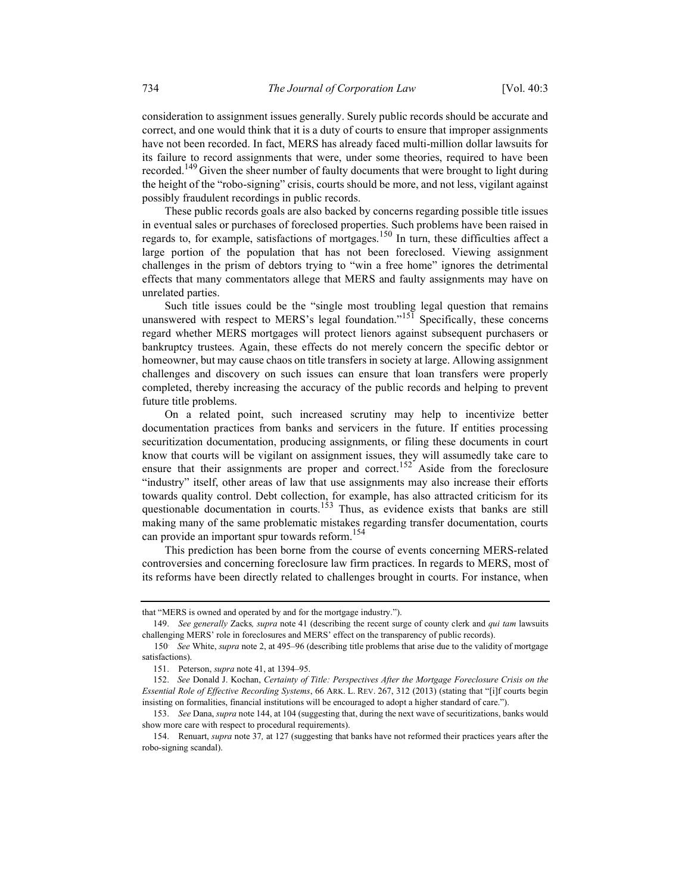consideration to assignment issues generally. Surely public records should be accurate and correct, and one would think that it is a duty of courts to ensure that improper assignments have not been recorded. In fact, MERS has already faced multi-million dollar lawsuits for its failure to record assignments that were, under some theories, required to have been recorded.<sup>149</sup> Given the sheer number of faulty documents that were brought to light during the height of the "robo-signing" crisis, courts should be more, and not less, vigilant against possibly fraudulent recordings in public records.

These public records goals are also backed by concerns regarding possible title issues in eventual sales or purchases of foreclosed properties. Such problems have been raised in regards to, for example, satisfactions of mortgages.<sup>150</sup> In turn, these difficulties affect a large portion of the population that has not been foreclosed. Viewing assignment challenges in the prism of debtors trying to "win a free home" ignores the detrimental effects that many commentators allege that MERS and faulty assignments may have on unrelated parties.

Such title issues could be the "single most troubling legal question that remains unanswered with respect to MERS's legal foundation."<sup>151</sup> Specifically, these concerns regard whether MERS mortgages will protect lienors against subsequent purchasers or bankruptcy trustees. Again, these effects do not merely concern the specific debtor or homeowner, but may cause chaos on title transfers in society at large. Allowing assignment challenges and discovery on such issues can ensure that loan transfers were properly completed, thereby increasing the accuracy of the public records and helping to prevent future title problems.

On a related point, such increased scrutiny may help to incentivize better documentation practices from banks and servicers in the future. If entities processing securitization documentation, producing assignments, or filing these documents in court know that courts will be vigilant on assignment issues, they will assumedly take care to ensure that their assignments are proper and correct.<sup>152</sup> Aside from the foreclosure "industry" itself, other areas of law that use assignments may also increase their efforts towards quality control. Debt collection, for example, has also attracted criticism for its questionable documentation in courts.<sup>153</sup> Thus, as evidence exists that banks are still making many of the same problematic mistakes regarding transfer documentation, courts can provide an important spur towards reform.<sup>154</sup>

This prediction has been borne from the course of events concerning MERS-related controversies and concerning foreclosure law firm practices. In regards to MERS, most of its reforms have been directly related to challenges brought in courts. For instance, when

that "MERS is owned and operated by and for the mortgage industry.").

<sup>149.</sup> See generally Zacks, supra note 41 (describing the recent surge of county clerk and qui tam lawsuits challenging MERS' role in foreclosures and MERS' effect on the transparency of public records).

<sup>150</sup>. See White, supra note 2, at 495–96 (describing title problems that arise due to the validity of mortgage satisfactions).

 <sup>151.</sup> Peterson, supra note 41, at 1394–95.

<sup>152.</sup> See Donald J. Kochan, Certainty of Title: Perspectives After the Mortgage Foreclosure Crisis on the Essential Role of Effective Recording Systems, 66 ARK. L. REV. 267, 312 (2013) (stating that "[i]f courts begin insisting on formalities, financial institutions will be encouraged to adopt a higher standard of care.").

 <sup>153.</sup> See Dana, supra note 144, at 104 (suggesting that, during the next wave of securitizations, banks would show more care with respect to procedural requirements).

 <sup>154.</sup> Renuart, supra note 37, at 127 (suggesting that banks have not reformed their practices years after the robo-signing scandal).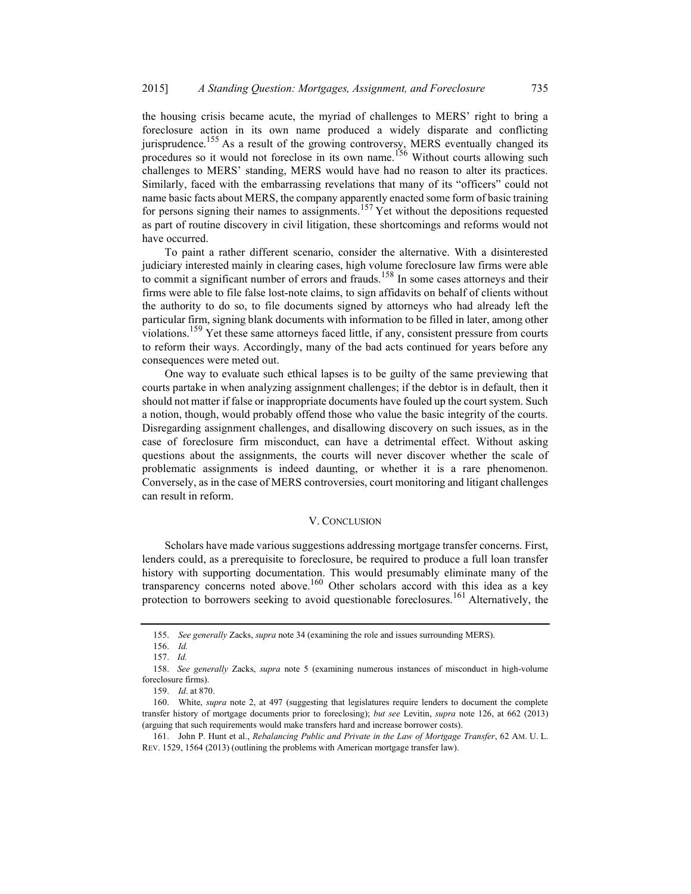the housing crisis became acute, the myriad of challenges to MERS' right to bring a foreclosure action in its own name produced a widely disparate and conflicting jurisprudence.<sup>155</sup> As a result of the growing controversy, MERS eventually changed its procedures so it would not foreclose in its own name.<sup>156</sup> Without courts allowing such challenges to MERS' standing, MERS would have had no reason to alter its practices. Similarly, faced with the embarrassing revelations that many of its "officers" could not name basic facts about MERS, the company apparently enacted some form of basic training for persons signing their names to assignments.<sup>157</sup> Yet without the depositions requested as part of routine discovery in civil litigation, these shortcomings and reforms would not have occurred.

To paint a rather different scenario, consider the alternative. With a disinterested judiciary interested mainly in clearing cases, high volume foreclosure law firms were able to commit a significant number of errors and frauds.<sup>158</sup> In some cases attorneys and their firms were able to file false lost-note claims, to sign affidavits on behalf of clients without the authority to do so, to file documents signed by attorneys who had already left the particular firm, signing blank documents with information to be filled in later, among other violations.<sup>159</sup> Yet these same attorneys faced little, if any, consistent pressure from courts to reform their ways. Accordingly, many of the bad acts continued for years before any consequences were meted out.

One way to evaluate such ethical lapses is to be guilty of the same previewing that courts partake in when analyzing assignment challenges; if the debtor is in default, then it should not matter if false or inappropriate documents have fouled up the court system. Such a notion, though, would probably offend those who value the basic integrity of the courts. Disregarding assignment challenges, and disallowing discovery on such issues, as in the case of foreclosure firm misconduct, can have a detrimental effect. Without asking questions about the assignments, the courts will never discover whether the scale of problematic assignments is indeed daunting, or whether it is a rare phenomenon. Conversely, as in the case of MERS controversies, court monitoring and litigant challenges can result in reform.

#### V. CONCLUSION

Scholars have made various suggestions addressing mortgage transfer concerns. First, lenders could, as a prerequisite to foreclosure, be required to produce a full loan transfer history with supporting documentation. This would presumably eliminate many of the transparency concerns noted above.160 Other scholars accord with this idea as a key protection to borrowers seeking to avoid questionable foreclosures.<sup>161</sup> Alternatively, the

 <sup>155.</sup> See generally Zacks, supra note 34 (examining the role and issues surrounding MERS).

 <sup>156.</sup> Id.

<sup>157.</sup> Id.

<sup>158.</sup> See generally Zacks, supra note 5 (examining numerous instances of misconduct in high-volume foreclosure firms).

 <sup>159.</sup> Id. at 870.

<sup>160.</sup> White, *supra* note 2, at 497 (suggesting that legislatures require lenders to document the complete transfer history of mortgage documents prior to foreclosing); but see Levitin, supra note 126, at 662 (2013) (arguing that such requirements would make transfers hard and increase borrower costs).

<sup>161.</sup> John P. Hunt et al., Rebalancing Public and Private in the Law of Mortgage Transfer, 62 AM. U. L. REV. 1529, 1564 (2013) (outlining the problems with American mortgage transfer law).